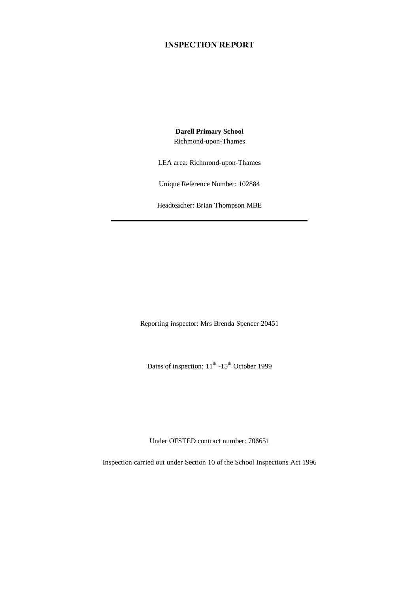# **INSPECTION REPORT**

**Darell Primary School** Richmond-upon-Thames

LEA area: Richmond-upon-Thames

Unique Reference Number: 102884

Headteacher: Brian Thompson MBE

Reporting inspector: Mrs Brenda Spencer 20451

Dates of inspection:  $11^{th}$  -15<sup>th</sup> October 1999

Under OFSTED contract number: 706651

Inspection carried out under Section 10 of the School Inspections Act 1996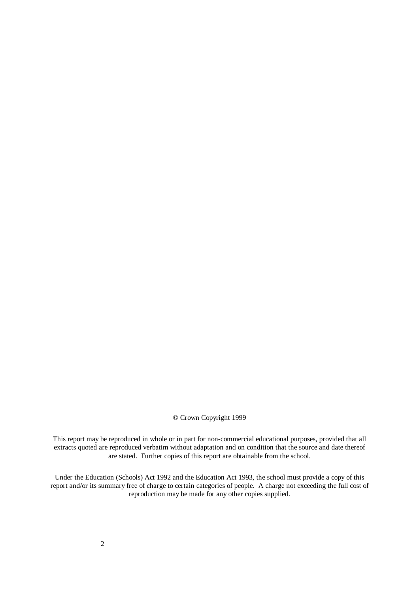#### © Crown Copyright 1999

This report may be reproduced in whole or in part for non-commercial educational purposes, provided that all extracts quoted are reproduced verbatim without adaptation and on condition that the source and date thereof are stated. Further copies of this report are obtainable from the school.

Under the Education (Schools) Act 1992 and the Education Act 1993, the school must provide a copy of this report and/or its summary free of charge to certain categories of people. A charge not exceeding the full cost of reproduction may be made for any other copies supplied.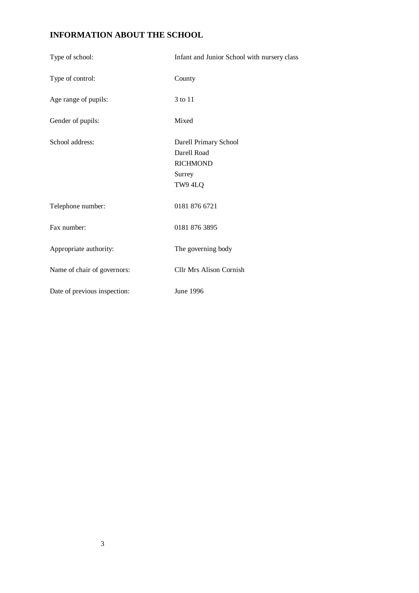# **INFORMATION ABOUT THE SCHOOL**

| Type of school:              | Infant and Junior School with nursery class                                  |
|------------------------------|------------------------------------------------------------------------------|
| Type of control:             | County                                                                       |
| Age range of pupils:         | 3 to 11                                                                      |
| Gender of pupils:            | Mixed                                                                        |
| School address:              | Darell Primary School<br>Darell Road<br><b>RICHMOND</b><br>Surrey<br>TW9 4LQ |
| Telephone number:            | 0181 876 6721                                                                |
| Fax number:                  | 0181 876 3895                                                                |
| Appropriate authority:       | The governing body                                                           |
| Name of chair of governors:  | <b>Cllr Mrs Alison Cornish</b>                                               |
| Date of previous inspection: | <b>June 1996</b>                                                             |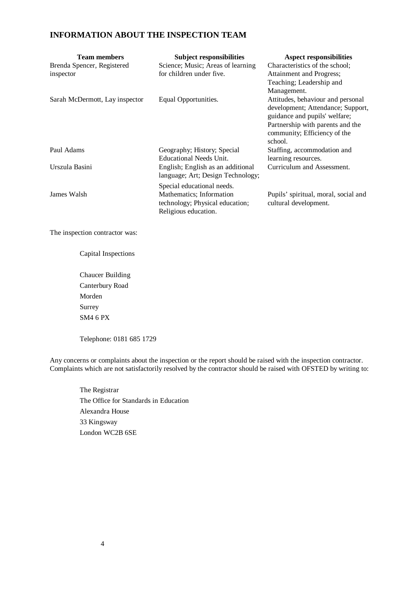# **INFORMATION ABOUT THE INSPECTION TEAM**

| <b>Team members</b><br>Brenda Spencer, Registered<br>inspector | <b>Subject responsibilities</b><br>Science; Music; Areas of learning<br>for children under five.                  | <b>Aspect responsibilities</b><br>Characteristics of the school;<br>Attainment and Progress;<br>Teaching; Leadership and<br>Management.                                                |
|----------------------------------------------------------------|-------------------------------------------------------------------------------------------------------------------|----------------------------------------------------------------------------------------------------------------------------------------------------------------------------------------|
| Sarah McDermott, Lay inspector                                 | Equal Opportunities.                                                                                              | Attitudes, behaviour and personal<br>development; Attendance; Support,<br>guidance and pupils' welfare;<br>Partnership with parents and the<br>community; Efficiency of the<br>school. |
| Paul Adams                                                     | Geography; History; Special<br>Educational Needs Unit.                                                            | Staffing, accommodation and<br>learning resources.                                                                                                                                     |
| Urszula Basini                                                 | English; English as an additional<br>language; Art; Design Technology;                                            | Curriculum and Assessment.                                                                                                                                                             |
| James Walsh                                                    | Special educational needs.<br>Mathematics; Information<br>technology; Physical education;<br>Religious education. | Pupils' spiritual, moral, social and<br>cultural development.                                                                                                                          |

The inspection contractor was:

Capital Inspections

Chaucer Building Canterbury Road Morden Surrey SM4 6 PX

Telephone: 0181 685 1729

Any concerns or complaints about the inspection or the report should be raised with the inspection contractor. Complaints which are not satisfactorily resolved by the contractor should be raised with OFSTED by writing to:

The Registrar The Office for Standards in Education Alexandra House 33 Kingsway London WC2B 6SE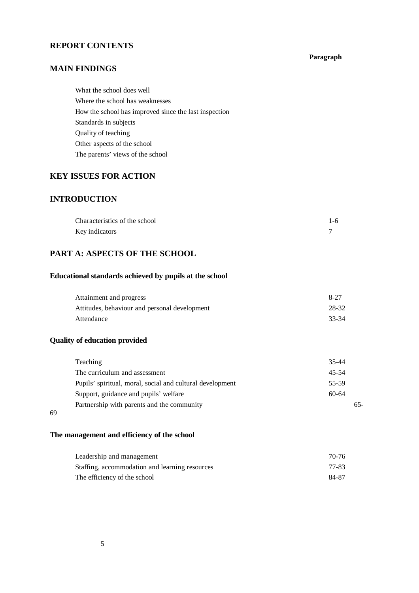## **REPORT CONTENTS**

## **MAIN FINDINGS**

What the school does well Where the school has weaknesses How the school has improved since the last inspection Standards in subjects Quality of teaching Other aspects of the school The parents' views of the school

# **KEY ISSUES FOR ACTION**

# **INTRODUCTION**

| Characteristics of the school | $1-6$ |
|-------------------------------|-------|
| Key indicators                |       |

# **PART A: ASPECTS OF THE SCHOOL**

## **Educational standards achieved by pupils at the school**

| Attainment and progress                       | 8-27  |
|-----------------------------------------------|-------|
| Attitudes, behaviour and personal development | 28-32 |
| Attendance                                    | 33-34 |

#### **Quality of education provided**

| Teaching                                                  | 35-44   |
|-----------------------------------------------------------|---------|
| The curriculum and assessment                             | 45-54   |
| Pupils' spiritual, moral, social and cultural development | 55-59   |
| Support, guidance and pupils' welfare                     | $60-64$ |
| Partnership with parents and the community                | 65-     |
|                                                           |         |

#### 69

#### **The management and efficiency of the school**

| Leadership and management                      | 70-76 |
|------------------------------------------------|-------|
| Staffing, accommodation and learning resources | 77-83 |
| The efficiency of the school                   | 84-87 |

#### 5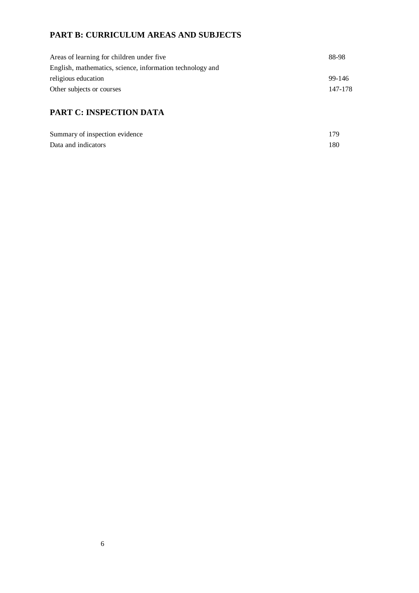# **PART B: CURRICULUM AREAS AND SUBJECTS**

| Areas of learning for children under five                 | 88-98   |
|-----------------------------------------------------------|---------|
| English, mathematics, science, information technology and |         |
| religious education                                       | 99-146  |
| Other subjects or courses                                 | 147-178 |
|                                                           |         |
| <b>PART C: INSPECTION DATA</b>                            |         |
|                                                           |         |
| Summary of inspection evidence                            | 179     |

Data and indicators 180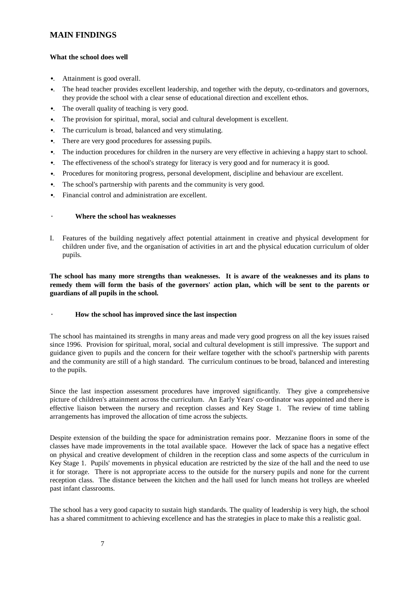## **MAIN FINDINGS**

#### **What the school does well**

- Attainment is good overall.
- •. The head teacher provides excellent leadership, and together with the deputy, co-ordinators and governors, they provide the school with a clear sense of educational direction and excellent ethos.
- •. The overall quality of teaching is very good.
- •. The provision for spiritual, moral, social and cultural development is excellent.
- •. The curriculum is broad, balanced and very stimulating.
- •. There are very good procedures for assessing pupils.
- •. The induction procedures for children in the nursery are very effective in achieving a happy start to school.
- •. The effectiveness of the school's strategy for literacy is very good and for numeracy it is good.
- •. Procedures for monitoring progress, personal development, discipline and behaviour are excellent.
- •. The school's partnership with parents and the community is very good.
- •. Financial control and administration are excellent.

#### · **Where the school has weaknesses**

I. Features of the building negatively affect potential attainment in creative and physical development for children under five, and the organisation of activities in art and the physical education curriculum of older pupils.

**The school has many more strengths than weaknesses. It is aware of the weaknesses and its plans to remedy them will form the basis of the governors' action plan, which will be sent to the parents or guardians of all pupils in the school.**

#### · **How the school has improved since the last inspection**

The school has maintained its strengths in many areas and made very good progress on all the key issues raised since 1996. Provision for spiritual, moral, social and cultural development is still impressive. The support and guidance given to pupils and the concern for their welfare together with the school's partnership with parents and the community are still of a high standard. The curriculum continues to be broad, balanced and interesting to the pupils.

Since the last inspection assessment procedures have improved significantly. They give a comprehensive picture of children's attainment across the curriculum. An Early Years' co-ordinator was appointed and there is effective liaison between the nursery and reception classes and Key Stage 1. The review of time tabling arrangements has improved the allocation of time across the subjects.

Despite extension of the building the space for administration remains poor. Mezzanine floors in some of the classes have made improvements in the total available space. However the lack of space has a negative effect on physical and creative development of children in the reception class and some aspects of the curriculum in Key Stage 1. Pupils' movements in physical education are restricted by the size of the hall and the need to use it for storage. There is not appropriate access to the outside for the nursery pupils and none for the current reception class. The distance between the kitchen and the hall used for lunch means hot trolleys are wheeled past infant classrooms.

The school has a very good capacity to sustain high standards. The quality of leadership is very high, the school has a shared commitment to achieving excellence and has the strategies in place to make this a realistic goal.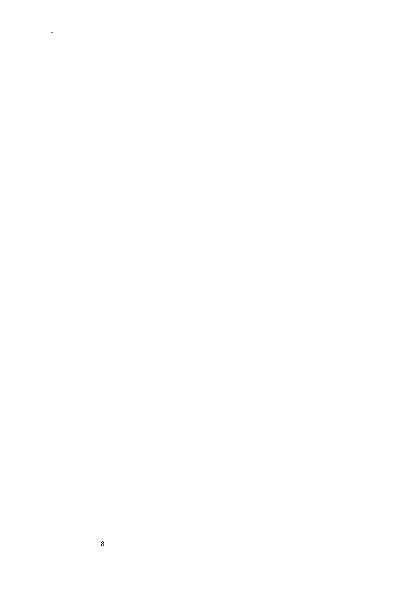·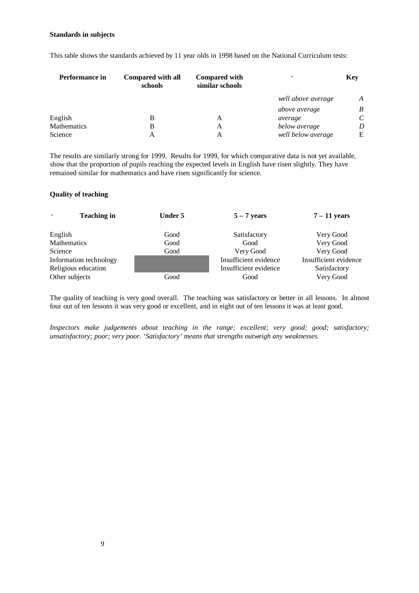#### **Standards in subjects**

| Performance in | Compared with all<br>schools | <b>Compared with</b><br>similar schools | $\bullet$            | Key |
|----------------|------------------------------|-----------------------------------------|----------------------|-----|
|                |                              |                                         | well above average   | A   |
|                |                              |                                         | <i>above average</i> | B   |
| English        | B                            | A                                       | average              |     |
| Mathematics    | В                            | A                                       | below average        | D   |
| Science        | А                            | А                                       | well below average   | Ε   |

This table shows the standards achieved by 11 year olds in 1998 based on the National Curriculum tests:

The results are similarly strong for 1999. Results for 1999, for which comparative data is not yet available, show that the proportion of pupils reaching the expected levels in English have risen slightly. They have remained similar for mathematics and have risen significantly for science.

#### **Quality of teaching**

| <b>Teaching in</b><br>$\cdot$ | <b>Under 5</b> | $5 - 7$ years         | $7 - 11$ years        |
|-------------------------------|----------------|-----------------------|-----------------------|
| English                       | Good           | Satisfactory          | Very Good             |
| <b>Mathematics</b>            | Good           | Good                  | Very Good             |
| Science                       | Good           | Very Good             | Very Good             |
| Information technology        |                | Insufficient evidence | Insufficient evidence |
| Religious education           |                | Insufficient evidence | Satisfactory          |
| Other subjects                | Good           | Good                  | Very Good             |

The quality of teaching is very good overall. The teaching was satisfactory or better in all lessons. In almost four out of ten lessons it was very good or excellent, and in eight out of ten lessons it was at least good.

*Inspectors make judgements about teaching in the range: excellent; very good; good; satisfactory; unsatisfactory; poor; very poor. 'Satisfactory' means that strengths outweigh any weaknesses.*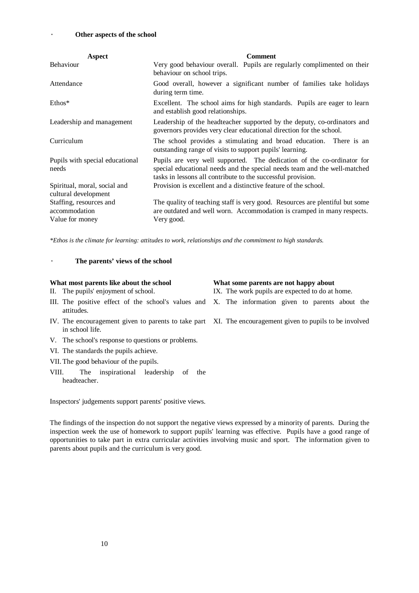#### · **Other aspects of the school**

| Aspect                                               | Comment                                                                                                                                                                                                             |  |  |  |  |
|------------------------------------------------------|---------------------------------------------------------------------------------------------------------------------------------------------------------------------------------------------------------------------|--|--|--|--|
| <b>Behaviour</b>                                     | Very good behaviour overall. Pupils are regularly complimented on their<br>behaviour on school trips.                                                                                                               |  |  |  |  |
| Attendance                                           | Good overall, however a significant number of families take holidays<br>during term time.                                                                                                                           |  |  |  |  |
| $Ethos*$                                             | Excellent. The school aims for high standards. Pupils are eager to learn<br>and establish good relationships.                                                                                                       |  |  |  |  |
| Leadership and management                            | Leadership of the headteacher supported by the deputy, co-ordinators and<br>governors provides very clear educational direction for the school.                                                                     |  |  |  |  |
| Curriculum                                           | The school provides a stimulating and broad education. There is an<br>outstanding range of visits to support pupils' learning.                                                                                      |  |  |  |  |
| Pupils with special educational<br>needs             | Pupils are very well supported. The dedication of the co-ordinator for<br>special educational needs and the special needs team and the well-matched<br>tasks in lessons all contribute to the successful provision. |  |  |  |  |
| Spiritual, moral, social and<br>cultural development | Provision is excellent and a distinctive feature of the school.                                                                                                                                                     |  |  |  |  |
| Staffing, resources and<br>accommodation             | The quality of teaching staff is very good. Resources are plentiful but some<br>are outdated and well worn. Accommodation is cramped in many respects.                                                              |  |  |  |  |
| Value for money                                      | Very good.                                                                                                                                                                                                          |  |  |  |  |

*\*Ethos is the climate for learning: attitudes to work, relationships and the commitment to high standards.*

#### · **The parents' views of the school**

| What most parents like about the school<br>II. The pupils' enjoyment of school. |                                                                                                                             |  | What some parents are not happy about<br>IX. The work pupils are expected to do at home. |  |  |  |  |  |  |
|---------------------------------------------------------------------------------|-----------------------------------------------------------------------------------------------------------------------------|--|------------------------------------------------------------------------------------------|--|--|--|--|--|--|
|                                                                                 | III. The positive effect of the school's values and X. The information given to parents about the<br>attitudes.             |  |                                                                                          |  |  |  |  |  |  |
|                                                                                 | IV. The encouragement given to parents to take part XI. The encouragement given to pupils to be involved<br>in school life. |  |                                                                                          |  |  |  |  |  |  |
|                                                                                 | V. The school's response to questions or problems.                                                                          |  |                                                                                          |  |  |  |  |  |  |
|                                                                                 | VI. The standards the pupils achieve.                                                                                       |  |                                                                                          |  |  |  |  |  |  |
|                                                                                 | VII. The good behaviour of the pupils.                                                                                      |  |                                                                                          |  |  |  |  |  |  |
| VIII.                                                                           | The inspirational leadership<br>- of<br>the<br>headteacher.                                                                 |  |                                                                                          |  |  |  |  |  |  |

Inspectors' judgements support parents' positive views.

The findings of the inspection do not support the negative views expressed by a minority of parents. During the inspection week the use of homework to support pupils' learning was effective. Pupils have a good range of opportunities to take part in extra curricular activities involving music and sport. The information given to parents about pupils and the curriculum is very good.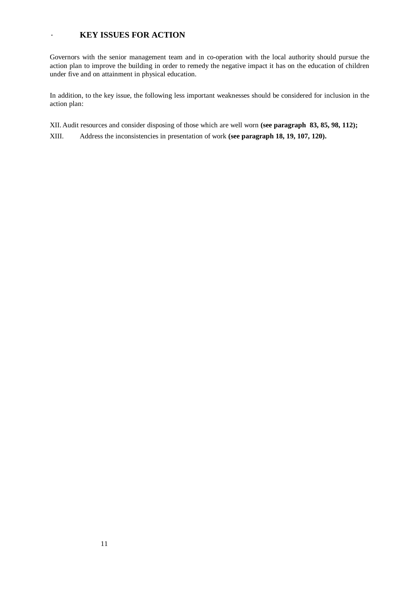# · **KEY ISSUES FOR ACTION**

Governors with the senior management team and in co-operation with the local authority should pursue the action plan to improve the building in order to remedy the negative impact it has on the education of children under five and on attainment in physical education.

In addition, to the key issue, the following less important weaknesses should be considered for inclusion in the action plan:

XII. Audit resources and consider disposing of those which are well worn **(see paragraph 83, 85, 98, 112);** XIII. Address the inconsistencies in presentation of work **(see paragraph 18, 19, 107, 120).**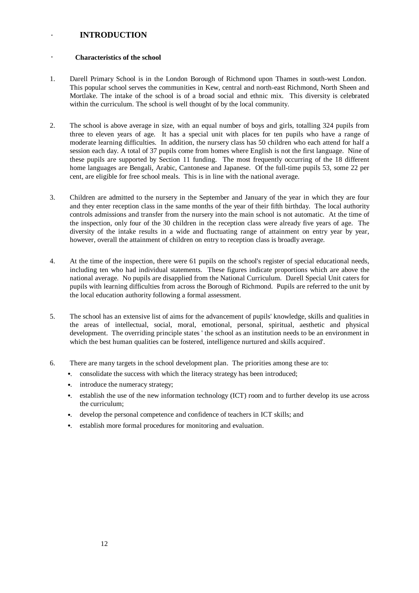### · **INTRODUCTION**

#### · **Characteristics of the school**

- 1. Darell Primary School is in the London Borough of Richmond upon Thames in south-west London. This popular school serves the communities in Kew, central and north-east Richmond, North Sheen and Mortlake. The intake of the school is of a broad social and ethnic mix. This diversity is celebrated within the curriculum. The school is well thought of by the local community.
- 2. The school is above average in size, with an equal number of boys and girls, totalling 324 pupils from three to eleven years of age. It has a special unit with places for ten pupils who have a range of moderate learning difficulties. In addition, the nursery class has 50 children who each attend for half a session each day. A total of 37 pupils come from homes where English is not the first language. Nine of these pupils are supported by Section 11 funding. The most frequently occurring of the 18 different home languages are Bengali, Arabic, Cantonese and Japanese. Of the full-time pupils 53, some 22 per cent, are eligible for free school meals. This is in line with the national average.
- 3. Children are admitted to the nursery in the September and January of the year in which they are four and they enter reception class in the same months of the year of their fifth birthday. The local authority controls admissions and transfer from the nursery into the main school is not automatic. At the time of the inspection, only four of the 30 children in the reception class were already five years of age. The diversity of the intake results in a wide and fluctuating range of attainment on entry year by year, however, overall the attainment of children on entry to reception class is broadly average.
- 4. At the time of the inspection, there were 61 pupils on the school's register of special educational needs, including ten who had individual statements. These figures indicate proportions which are above the national average. No pupils are disapplied from the National Curriculum. Darell Special Unit caters for pupils with learning difficulties from across the Borough of Richmond. Pupils are referred to the unit by the local education authority following a formal assessment.
- 5. The school has an extensive list of aims for the advancement of pupils' knowledge, skills and qualities in the areas of intellectual, social, moral, emotional, personal, spiritual, aesthetic and physical development. The overriding principle states ' the school as an institution needs to be an environment in which the best human qualities can be fostered, intelligence nurtured and skills acquired'.
- 6. There are many targets in the school development plan. The priorities among these are to:
	- •. consolidate the success with which the literacy strategy has been introduced;
	- •. introduce the numeracy strategy;
	- •. establish the use of the new information technology (ICT) room and to further develop its use across the curriculum;
	- •. develop the personal competence and confidence of teachers in ICT skills; and
	- establish more formal procedures for monitoring and evaluation.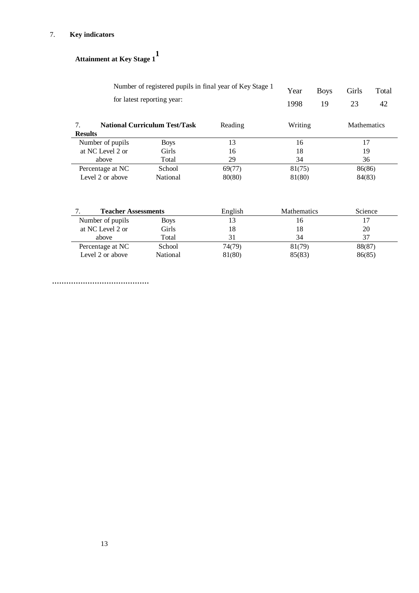# 7. **Key indicators**

# **Attainment at Key Stage 1 1**

| Number of registered pupils in final year of Key Stage 1 | Year        | <b>Boys</b> | Girls   | Total |                    |  |
|----------------------------------------------------------|-------------|-------------|---------|-------|--------------------|--|
| for latest reporting year:                               |             | 1998        | 19      | 23    | 42                 |  |
| <b>National Curriculum Test/Task</b><br><b>Results</b>   |             | Reading     | Writing |       | <b>Mathematics</b> |  |
| Number of pupils                                         | <b>Boys</b> |             | 16      |       |                    |  |
| at NC Level 2 or                                         | Girls       | 16          | 18      |       | 19                 |  |

|                  | ------                 |        |        |        |
|------------------|------------------------|--------|--------|--------|
| above            | $\tau$ <sub>otal</sub> | 29     | 34     | 36     |
| Percentage at NC | School                 | 69(77) | 81(75) | 86(86) |
| Level 2 or above | National               | 80(80) | 81(80) | 84(83) |
|                  |                        |        |        |        |

| <b>Teacher Assessments</b> |             | English | <b>Mathematics</b> | Science |
|----------------------------|-------------|---------|--------------------|---------|
| Number of pupils           | <b>Boys</b> |         | 16                 |         |
| at NC Level 2 or           | Girls       | 18      | 18                 | 20      |
| above                      | Total       |         | 34                 | 37      |
| Percentage at NC           | School      | 74(79)  | 81(79)             | 88(87)  |
| Level 2 or above           | National    | 81(80)  | 85(83)             | 86(85)  |

.........................................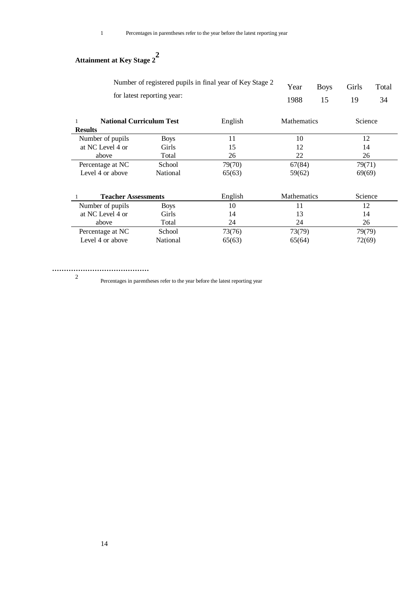# **Attainment at Key Stage 2 2**

| Number of registered pupils in final year of Key Stage 2 |             |         | Year               | <b>Boys</b> | Girls    | Total |
|----------------------------------------------------------|-------------|---------|--------------------|-------------|----------|-------|
| for latest reporting year:                               |             |         | 1988               | 15          | 19<br>34 |       |
| <b>National Curriculum Test</b><br><b>Results</b>        |             | English | <b>Mathematics</b> |             | Science  |       |
| Number of pupils                                         | <b>Boys</b> | 11      | 10                 |             | 12       |       |
| at NC Level 4 or<br>Girls                                |             | 15      | 12                 |             | 14       |       |
| Total<br>above                                           |             | 26      | 22                 |             | 26       |       |
| Percentage at NC                                         | School      | 79(70)  | 67(84)             |             | 79(71)   |       |
| Level 4 or above<br>National                             |             | 65(63)  | 59(62)             |             | 69(69)   |       |
| <b>Teacher Assessments</b>                               |             | English | <b>Mathematics</b> |             | Science  |       |
| Number of pupils                                         | <b>Boys</b> | 10      | 11                 |             | 12       |       |
| at NC Level 4 or                                         | Girls       | 14      | 13                 |             | 14       |       |
| above                                                    | Total       | 24      | 24                 |             | 26       |       |
| Percentage at NC                                         | School      | 73(76)  | 73(79)             |             | 79(79)   |       |
| Level 4 or above<br>National<br>65(63)                   |             |         | 65(64)<br>72(69)   |             |          |       |

.........................................

2

Percentages in parentheses refer to the year before the latest reporting year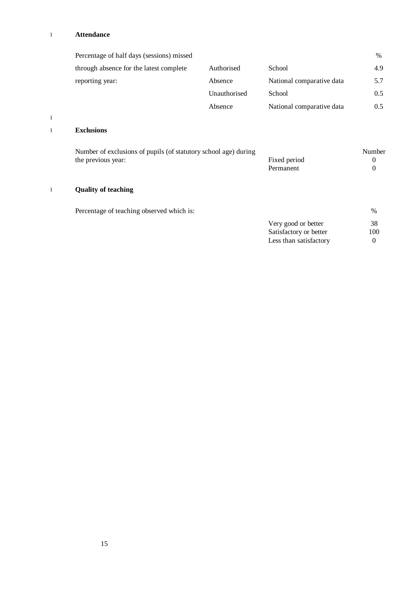#### 1 **Attendance**

| Percentage of half days (sessions) missed |              |                           | $\%$ |
|-------------------------------------------|--------------|---------------------------|------|
| through absence for the latest complete   | Authorised   | School                    | 4.9  |
| reporting year:                           | Absence      | National comparative data | 5.7  |
|                                           | Unauthorised | School                    | 0.5  |
|                                           | Absence      | National comparative data | 0.5  |
|                                           |              |                           |      |

#### 1 **Exclusions**

1

| Number of exclusions of pupils (of statutory school age) during | Number       |  |
|-----------------------------------------------------------------|--------------|--|
| the previous year:                                              | Fixed period |  |
|                                                                 | Permanent    |  |

# 1 **Quality of teaching**

| Percentage of teaching observed which is: |  |
|-------------------------------------------|--|
|-------------------------------------------|--|

| Very good or better    | 38       |
|------------------------|----------|
| Satisfactory or better | 100      |
| Less than satisfactory | $\theta$ |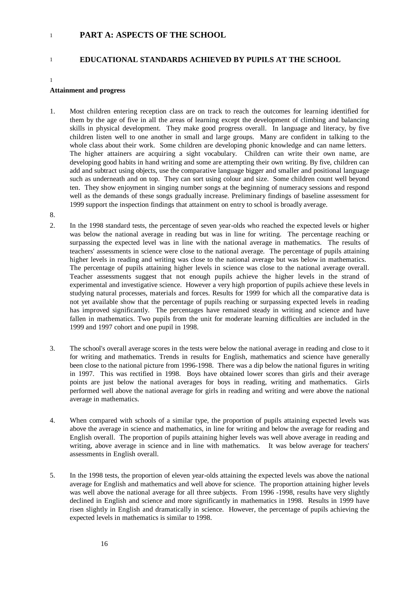### <sup>1</sup> **PART A: ASPECTS OF THE SCHOOL**

#### 1 **EDUCATIONAL STANDARDS ACHIEVED BY PUPILS AT THE SCHOOL**

1

8.

#### **Attainment and progress**

- 1. Most children entering reception class are on track to reach the outcomes for learning identified for them by the age of five in all the areas of learning except the development of climbing and balancing skills in physical development. They make good progress overall. In language and literacy, by five children listen well to one another in small and large groups. Many are confident in talking to the whole class about their work. Some children are developing phonic knowledge and can name letters. The higher attainers are acquiring a sight vocabulary. Children can write their own name, are developing good habits in hand writing and some are attempting their own writing. By five, children can add and subtract using objects, use the comparative language bigger and smaller and positional language such as underneath and on top. They can sort using colour and size. Some children count well beyond ten. They show enjoyment in singing number songs at the beginning of numeracy sessions and respond well as the demands of these songs gradually increase. Preliminary findings of baseline assessment for 1999 support the inspection findings that attainment on entry to school is broadly average.
- 2. In the 1998 standard tests, the percentage of seven year-olds who reached the expected levels or higher was below the national average in reading but was in line for writing. The percentage reaching or surpassing the expected level was in line with the national average in mathematics. The results of teachers' assessments in science were close to the national average. The percentage of pupils attaining higher levels in reading and writing was close to the national average but was below in mathematics. The percentage of pupils attaining higher levels in science was close to the national average overall. Teacher assessments suggest that not enough pupils achieve the higher levels in the strand of experimental and investigative science. However a very high proportion of pupils achieve these levels in studying natural processes, materials and forces. Results for 1999 for which all the comparative data is not yet available show that the percentage of pupils reaching or surpassing expected levels in reading has improved significantly. The percentages have remained steady in writing and science and have fallen in mathematics. Two pupils from the unit for moderate learning difficulties are included in the 1999 and 1997 cohort and one pupil in 1998.
- 3. The school's overall average scores in the tests were below the national average in reading and close to it for writing and mathematics. Trends in results for English, mathematics and science have generally been close to the national picture from 1996-1998. There was a dip below the national figures in writing in 1997. This was rectified in 1998. Boys have obtained lower scores than girls and their average points are just below the national averages for boys in reading, writing and mathematics. Girls performed well above the national average for girls in reading and writing and were above the national average in mathematics.
- 4. When compared with schools of a similar type, the proportion of pupils attaining expected levels was above the average in science and mathematics, in line for writing and below the average for reading and English overall. The proportion of pupils attaining higher levels was well above average in reading and writing, above average in science and in line with mathematics. It was below average for teachers' assessments in English overall.
- 5. In the 1998 tests, the proportion of eleven year-olds attaining the expected levels was above the national average for English and mathematics and well above for science. The proportion attaining higher levels was well above the national average for all three subjects. From 1996 -1998, results have very slightly declined in English and science and more significantly in mathematics in 1998. Results in 1999 have risen slightly in English and dramatically in science. However, the percentage of pupils achieving the expected levels in mathematics is similar to 1998.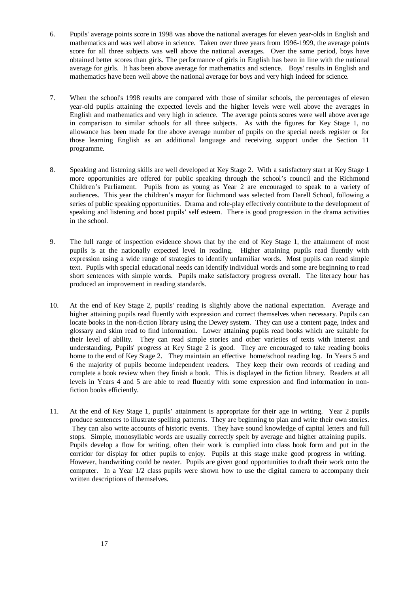- 6. Pupils' average points score in 1998 was above the national averages for eleven year-olds in English and mathematics and was well above in science. Taken over three years from 1996-1999, the average points score for all three subjects was well above the national averages. Over the same period, boys have obtained better scores than girls. The performance of girls in English has been in line with the national average for girls. It has been above average for mathematics and science. Boys' results in English and mathematics have been well above the national average for boys and very high indeed for science.
- 7. When the school's 1998 results are compared with those of similar schools, the percentages of eleven year-old pupils attaining the expected levels and the higher levels were well above the averages in English and mathematics and very high in science. The average points scores were well above average in comparison to similar schools for all three subjects. As with the figures for Key Stage 1, no allowance has been made for the above average number of pupils on the special needs register or for those learning English as an additional language and receiving support under the Section 11 programme.
- 8. Speaking and listening skills are well developed at Key Stage 2. With a satisfactory start at Key Stage 1 more opportunities are offered for public speaking through the school's council and the Richmond Children's Parliament. Pupils from as young as Year 2 are encouraged to speak to a variety of audiences. This year the children's mayor for Richmond was selected from Darell School, following a series of public speaking opportunities. Drama and role-play effectively contribute to the development of speaking and listening and boost pupils' self esteem. There is good progression in the drama activities in the school.
- 9. The full range of inspection evidence shows that by the end of Key Stage 1, the attainment of most pupils is at the nationally expected level in reading. Higher attaining pupils read fluently with expression using a wide range of strategies to identify unfamiliar words. Most pupils can read simple text. Pupils with special educational needs can identify individual words and some are beginning to read short sentences with simple words. Pupils make satisfactory progress overall. The literacy hour has produced an improvement in reading standards.
- 10. At the end of Key Stage 2, pupils' reading is slightly above the national expectation. Average and higher attaining pupils read fluently with expression and correct themselves when necessary. Pupils can locate books in the non-fiction library using the Dewey system. They can use a content page, index and glossary and skim read to find information. Lower attaining pupils read books which are suitable for their level of ability. They can read simple stories and other varieties of texts with interest and understanding. Pupils' progress at Key Stage 2 is good. They are encouraged to take reading books home to the end of Key Stage 2. They maintain an effective home/school reading log. In Years 5 and 6 the majority of pupils become independent readers. They keep their own records of reading and complete a book review when they finish a book. This is displayed in the fiction library. Readers at all levels in Years 4 and 5 are able to read fluently with some expression and find information in nonfiction books efficiently.
- 11. At the end of Key Stage 1, pupils' attainment is appropriate for their age in writing. Year 2 pupils produce sentences to illustrate spelling patterns. They are beginning to plan and write their own stories. They can also write accounts of historic events. They have sound knowledge of capital letters and full stops. Simple, monosyllabic words are usually correctly spelt by average and higher attaining pupils. Pupils develop a flow for writing, often their work is complied into class book form and put in the corridor for display for other pupils to enjoy. Pupils at this stage make good progress in writing. However, handwriting could be neater. Pupils are given good opportunities to draft their work onto the computer. In a Year 1/2 class pupils were shown how to use the digital camera to accompany their written descriptions of themselves.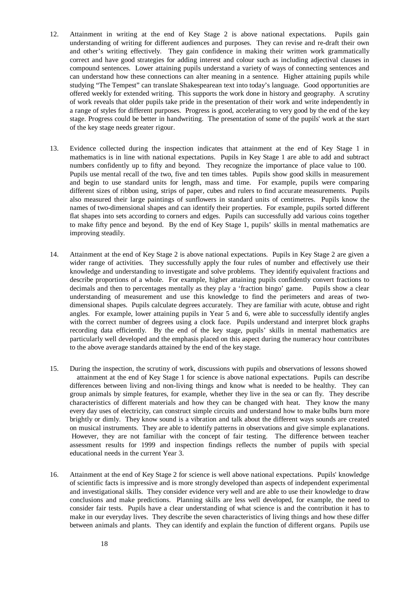- 12. Attainment in writing at the end of Key Stage 2 is above national expectations. Pupils gain understanding of writing for different audiences and purposes. They can revise and re-draft their own and other's writing effectively. They gain confidence in making their written work grammatically correct and have good strategies for adding interest and colour such as including adjectival clauses in compound sentences. Lower attaining pupils understand a variety of ways of connecting sentences and can understand how these connections can alter meaning in a sentence. Higher attaining pupils while studying "The Tempest" can translate Shakespearean text into today's language. Good opportunities are offered weekly for extended writing. This supports the work done in history and geography. A scrutiny of work reveals that older pupils take pride in the presentation of their work and write independently in a range of styles for different purposes. Progress is good, accelerating to very good by the end of the key stage. Progress could be better in handwriting. The presentation of some of the pupils' work at the start of the key stage needs greater rigour.
- 13. Evidence collected during the inspection indicates that attainment at the end of Key Stage 1 in mathematics is in line with national expectations. Pupils in Key Stage 1 are able to add and subtract numbers confidently up to fifty and beyond. They recognize the importance of place value to 100. Pupils use mental recall of the two, five and ten times tables. Pupils show good skills in measurement and begin to use standard units for length, mass and time. For example, pupils were comparing different sizes of ribbon using, strips of paper, cubes and rulers to find accurate measurements. Pupils also measured their large paintings of sunflowers in standard units of centimetres. Pupils know the names of two-dimensional shapes and can identify their properties. For example, pupils sorted different flat shapes into sets according to corners and edges. Pupils can successfully add various coins together to make fifty pence and beyond. By the end of Key Stage 1, pupils' skills in mental mathematics are improving steadily.
- 14. Attainment at the end of Key Stage 2 is above national expectations. Pupils in Key Stage 2 are given a wider range of activities. They successfully apply the four rules of number and effectively use their knowledge and understanding to investigate and solve problems. They identify equivalent fractions and describe proportions of a whole. For example, higher attaining pupils confidently convert fractions to decimals and then to percentages mentally as they play a 'fraction bingo' game. Pupils show a clear understanding of measurement and use this knowledge to find the perimeters and areas of twodimensional shapes. Pupils calculate degrees accurately. They are familiar with acute, obtuse and right angles. For example, lower attaining pupils in Year 5 and 6, were able to successfully identify angles with the correct number of degrees using a clock face. Pupils understand and interpret block graphs recording data efficiently. By the end of the key stage, pupils' skills in mental mathematics are particularly well developed and the emphasis placed on this aspect during the numeracy hour contributes to the above average standards attained by the end of the key stage.
- 15. During the inspection, the scrutiny of work, discussions with pupils and observations of lessons showed attainment at the end of Key Stage 1 for science is above national expectations. Pupils can describe differences between living and non-living things and know what is needed to be healthy. They can group animals by simple features, for example, whether they live in the sea or can fly. They describe characteristics of different materials and how they can be changed with heat. They know the many every day uses of electricity, can construct simple circuits and understand how to make bulbs burn more brightly or dimly. They know sound is a vibration and talk about the different ways sounds are created on musical instruments. They are able to identify patterns in observations and give simple explanations. However, they are not familiar with the concept of fair testing. The difference between teacher assessment results for 1999 and inspection findings reflects the number of pupils with special educational needs in the current Year 3.
- 16. Attainment at the end of Key Stage 2 for science is well above national expectations. Pupils' knowledge of scientific facts is impressive and is more strongly developed than aspects of independent experimental and investigational skills. They consider evidence very well and are able to use their knowledge to draw conclusions and make predictions. Planning skills are less well developed, for example, the need to consider fair tests. Pupils have a clear understanding of what science is and the contribution it has to make in our everyday lives. They describe the seven characteristics of living things and how these differ between animals and plants. They can identify and explain the function of different organs. Pupils use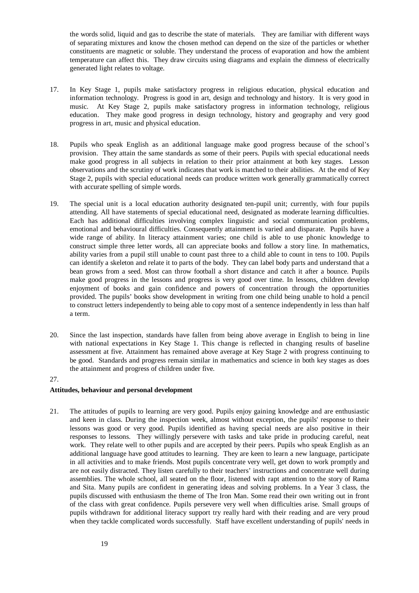the words solid, liquid and gas to describe the state of materials. They are familiar with different ways of separating mixtures and know the chosen method can depend on the size of the particles or whether constituents are magnetic or soluble. They understand the process of evaporation and how the ambient temperature can affect this. They draw circuits using diagrams and explain the dimness of electrically generated light relates to voltage.

- 17. In Key Stage 1, pupils make satisfactory progress in religious education, physical education and information technology. Progress is good in art, design and technology and history. It is very good in music. At Key Stage 2, pupils make satisfactory progress in information technology, religious education. They make good progress in design technology, history and geography and very good progress in art, music and physical education.
- 18. Pupils who speak English as an additional language make good progress because of the school's provision. They attain the same standards as some of their peers. Pupils with special educational needs make good progress in all subjects in relation to their prior attainment at both key stages. Lesson observations and the scrutiny of work indicates that work is matched to their abilities. At the end of Key Stage 2, pupils with special educational needs can produce written work generally grammatically correct with accurate spelling of simple words.
- 19. The special unit is a local education authority designated ten-pupil unit; currently, with four pupils attending. All have statements of special educational need, designated as moderate learning difficulties. Each has additional difficulties involving complex linguistic and social communication problems, emotional and behavioural difficulties. Consequently attainment is varied and disparate. Pupils have a wide range of ability. In literacy attainment varies; one child is able to use phonic knowledge to construct simple three letter words, all can appreciate books and follow a story line. In mathematics, ability varies from a pupil still unable to count past three to a child able to count in tens to 100. Pupils can identify a skeleton and relate it to parts of the body. They can label body parts and understand that a bean grows from a seed. Most can throw football a short distance and catch it after a bounce. Pupils make good progress in the lessons and progress is very good over time. In lessons, children develop enjoyment of books and gain confidence and powers of concentration through the opportunities provided. The pupils' books show development in writing from one child being unable to hold a pencil to construct letters independently to being able to copy most of a sentence independently in less than half a term.
- 20. Since the last inspection, standards have fallen from being above average in English to being in line with national expectations in Key Stage 1. This change is reflected in changing results of baseline assessment at five. Attainment has remained above average at Key Stage 2 with progress continuing to be good. Standards and progress remain similar in mathematics and science in both key stages as does the attainment and progress of children under five.
- 27.

#### **Attitudes, behaviour and personal development**

21. The attitudes of pupils to learning are very good. Pupils enjoy gaining knowledge and are enthusiastic and keen in class. During the inspection week, almost without exception, the pupils' response to their lessons was good or very good. Pupils identified as having special needs are also positive in their responses to lessons. They willingly persevere with tasks and take pride in producing careful, neat work. They relate well to other pupils and are accepted by their peers. Pupils who speak English as an additional language have good attitudes to learning. They are keen to learn a new language, participate in all activities and to make friends. Most pupils concentrate very well, get down to work promptly and are not easily distracted. They listen carefully to their teachers' instructions and concentrate well during assemblies. The whole school, all seated on the floor, listened with rapt attention to the story of Rama and Sita. Many pupils are confident in generating ideas and solving problems. In a Year 3 class, the pupils discussed with enthusiasm the theme of The Iron Man. Some read their own writing out in front of the class with great confidence. Pupils persevere very well when difficulties arise. Small groups of pupils withdrawn for additional literacy support try really hard with their reading and are very proud when they tackle complicated words successfully. Staff have excellent understanding of pupils' needs in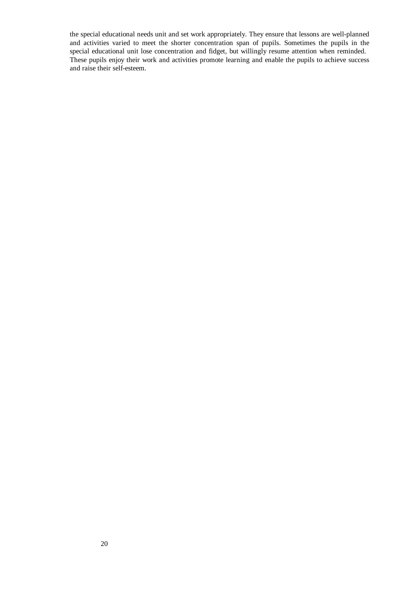the special educational needs unit and set work appropriately. They ensure that lessons are well-planned and activities varied to meet the shorter concentration span of pupils. Sometimes the pupils in the special educational unit lose concentration and fidget, but willingly resume attention when reminded. These pupils enjoy their work and activities promote learning and enable the pupils to achieve success and raise their self-esteem.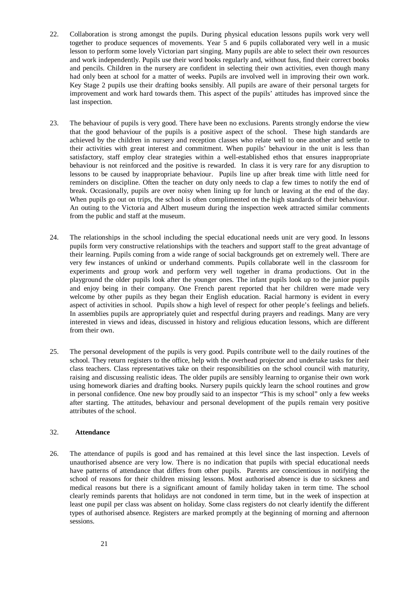- 22. Collaboration is strong amongst the pupils. During physical education lessons pupils work very well together to produce sequences of movements. Year 5 and 6 pupils collaborated very well in a music lesson to perform some lovely Victorian part singing. Many pupils are able to select their own resources and work independently. Pupils use their word books regularly and, without fuss, find their correct books and pencils. Children in the nursery are confident in selecting their own activities, even though many had only been at school for a matter of weeks. Pupils are involved well in improving their own work. Key Stage 2 pupils use their drafting books sensibly. All pupils are aware of their personal targets for improvement and work hard towards them. This aspect of the pupils' attitudes has improved since the last inspection*.*
- 23. The behaviour of pupils is very good. There have been no exclusions. Parents strongly endorse the view that the good behaviour of the pupils is a positive aspect of the school. These high standards are achieved by the children in nursery and reception classes who relate well to one another and settle to their activities with great interest and commitment. When pupils' behaviour in the unit is less than satisfactory, staff employ clear strategies within a well-established ethos that ensures inappropriate behaviour is not reinforced and the positive is rewarded. In class it is very rare for any disruption to lessons to be caused by inappropriate behaviour. Pupils line up after break time with little need for reminders on discipline. Often the teacher on duty only needs to clap a few times to notify the end of break. Occasionally, pupils are over noisy when lining up for lunch or leaving at the end of the day. When pupils go out on trips, the school is often complimented on the high standards of their behaviour. An outing to the Victoria and Albert museum during the inspection week attracted similar comments from the public and staff at the museum.
- 24. The relationships in the school including the special educational needs unit are very good. In lessons pupils form very constructive relationships with the teachers and support staff to the great advantage of their learning. Pupils coming from a wide range of social backgrounds get on extremely well. There are very few instances of unkind or underhand comments. Pupils collaborate well in the classroom for experiments and group work and perform very well together in drama productions. Out in the playground the older pupils look after the younger ones. The infant pupils look up to the junior pupils and enjoy being in their company. One French parent reported that her children were made very welcome by other pupils as they began their English education. Racial harmony is evident in every aspect of activities in school. Pupils show a high level of respect for other people's feelings and beliefs. In assemblies pupils are appropriately quiet and respectful during prayers and readings. Many are very interested in views and ideas, discussed in history and religious education lessons, which are different from their own.
- 25. The personal development of the pupils is very good. Pupils contribute well to the daily routines of the school. They return registers to the office, help with the overhead projector and undertake tasks for their class teachers. Class representatives take on their responsibilities on the school council with maturity, raising and discussing realistic ideas. The older pupils are sensibly learning to organise their own work using homework diaries and drafting books. Nursery pupils quickly learn the school routines and grow in personal confidence. One new boy proudly said to an inspector "This is my school" only a few weeks after starting. The attitudes, behaviour and personal development of the pupils remain very positive attributes of the school.

#### 32. **Attendance**

26. The attendance of pupils is good and has remained at this level since the last inspection. Levels of unauthorised absence are very low. There is no indication that pupils with special educational needs have patterns of attendance that differs from other pupils. Parents are conscientious in notifying the school of reasons for their children missing lessons. Most authorised absence is due to sickness and medical reasons but there is a significant amount of family holiday taken in term time. The school clearly reminds parents that holidays are not condoned in term time, but in the week of inspection at least one pupil per class was absent on holiday. Some class registers do not clearly identify the different types of authorised absence. Registers are marked promptly at the beginning of morning and afternoon sessions.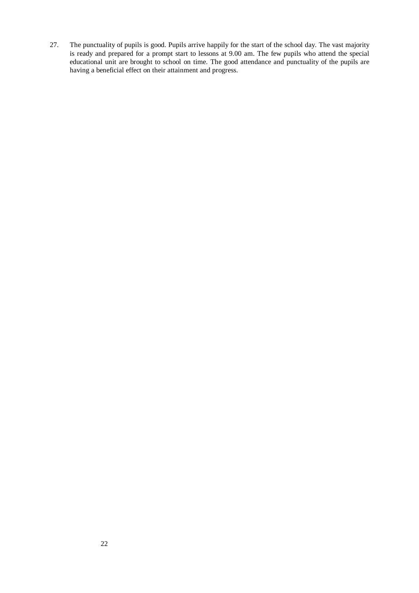27. The punctuality of pupils is good. Pupils arrive happily for the start of the school day. The vast majority is ready and prepared for a prompt start to lessons at 9.00 am. The few pupils who attend the special educational unit are brought to school on time. The good attendance and punctuality of the pupils are having a beneficial effect on their attainment and progress.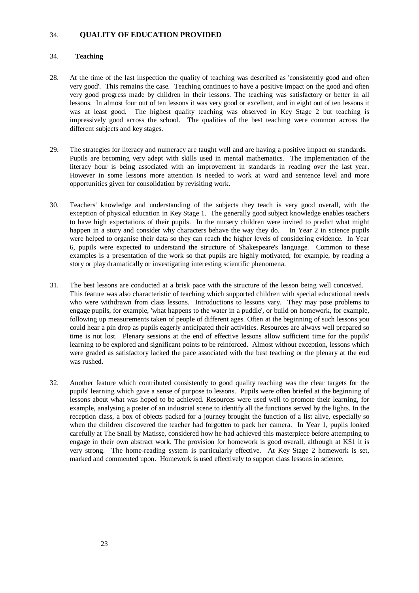### 34. **QUALITY OF EDUCATION PROVIDED**

#### 34. **Teaching**

- 28. At the time of the last inspection the quality of teaching was described as 'consistently good and often very good'. This remains the case. Teaching continues to have a positive impact on the good and often very good progress made by children in their lessons. The teaching was satisfactory or better in all lessons. In almost four out of ten lessons it was very good or excellent, and in eight out of ten lessons it was at least good. The highest quality teaching was observed in Key Stage 2 but teaching is impressively good across the school. The qualities of the best teaching were common across the different subjects and key stages.
- 29. The strategies for literacy and numeracy are taught well and are having a positive impact on standards. Pupils are becoming very adept with skills used in mental mathematics. The implementation of the literacy hour is being associated with an improvement in standards in reading over the last year. However in some lessons more attention is needed to work at word and sentence level and more opportunities given for consolidation by revisiting work.
- 30. Teachers' knowledge and understanding of the subjects they teach is very good overall, with the exception of physical education in Key Stage 1. The generally good subject knowledge enables teachers to have high expectations of their pupils. In the nursery children were invited to predict what might happen in a story and consider why characters behave the way they do. In Year 2 in science pupils were helped to organise their data so they can reach the higher levels of considering evidence. In Year 6, pupils were expected to understand the structure of Shakespeare's language. Common to these examples is a presentation of the work so that pupils are highly motivated, for example, by reading a story or play dramatically or investigating interesting scientific phenomena.
- 31. The best lessons are conducted at a brisk pace with the structure of the lesson being well conceived. This feature was also characteristic of teaching which supported children with special educational needs who were withdrawn from class lessons. Introductions to lessons vary. They may pose problems to engage pupils, for example, 'what happens to the water in a puddle', or build on homework, for example, following up measurements taken of people of different ages. Often at the beginning of such lessons you could hear a pin drop as pupils eagerly anticipated their activities. Resources are always well prepared so time is not lost. Plenary sessions at the end of effective lessons allow sufficient time for the pupils' learning to be explored and significant points to be reinforced. Almost without exception, lessons which were graded as satisfactory lacked the pace associated with the best teaching or the plenary at the end was rushed.
- 32. Another feature which contributed consistently to good quality teaching was the clear targets for the pupils' learning which gave a sense of purpose to lessons. Pupils were often briefed at the beginning of lessons about what was hoped to be achieved. Resources were used well to promote their learning, for example, analysing a poster of an industrial scene to identify all the functions served by the lights. In the reception class, a box of objects packed for a journey brought the function of a list alive, especially so when the children discovered the teacher had forgotten to pack her camera. In Year 1, pupils looked carefully at The Snail by Matisse, considered how he had achieved this masterpiece before attempting to engage in their own abstract work. The provision for homework is good overall, although at KS1 it is very strong. The home-reading system is particularly effective. At Key Stage 2 homework is set, marked and commented upon. Homework is used effectively to support class lessons in science.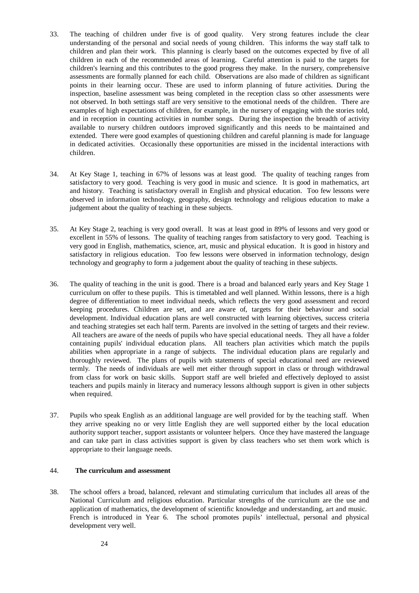- 33. The teaching of children under five is of good quality. Very strong features include the clear understanding of the personal and social needs of young children. This informs the way staff talk to children and plan their work. This planning is clearly based on the outcomes expected by five of all children in each of the recommended areas of learning. Careful attention is paid to the targets for children's learning and this contributes to the good progress they make. In the nursery, comprehensive assessments are formally planned for each child. Observations are also made of children as significant points in their learning occur. These are used to inform planning of future activities. During the inspection, baseline assessment was being completed in the reception class so other assessments were not observed. In both settings staff are very sensitive to the emotional needs of the children. There are examples of high expectations of children, for example, in the nursery of engaging with the stories told, and in reception in counting activities in number songs. During the inspection the breadth of activity available to nursery children outdoors improved significantly and this needs to be maintained and extended. There were good examples of questioning children and careful planning is made for language in dedicated activities. Occasionally these opportunities are missed in the incidental interactions with children.
- 34. At Key Stage 1, teaching in 67% of lessons was at least good. The quality of teaching ranges from satisfactory to very good. Teaching is very good in music and science. It is good in mathematics, art and history. Teaching is satisfactory overall in English and physical education. Too few lessons were observed in information technology, geography, design technology and religious education to make a judgement about the quality of teaching in these subjects.
- 35. At Key Stage 2, teaching is very good overall. It was at least good in 89% of lessons and very good or excellent in 55% of lessons. The quality of teaching ranges from satisfactory to very good. Teaching is very good in English, mathematics, science, art, music and physical education. It is good in history and satisfactory in religious education. Too few lessons were observed in information technology, design technology and geography to form a judgement about the quality of teaching in these subjects.
- 36. The quality of teaching in the unit is good. There is a broad and balanced early years and Key Stage 1 curriculum on offer to these pupils. This is timetabled and well planned. Within lessons, there is a high degree of differentiation to meet individual needs, which reflects the very good assessment and record keeping procedures. Children are set, and are aware of, targets for their behaviour and social development. Individual education plans are well constructed with learning objectives, success criteria and teaching strategies set each half term. Parents are involved in the setting of targets and their review. All teachers are aware of the needs of pupils who have special educational needs. They all have a folder containing pupils' individual education plans. All teachers plan activities which match the pupils abilities when appropriate in a range of subjects. The individual education plans are regularly and thoroughly reviewed. The plans of pupils with statements of special educational need are reviewed termly. The needs of individuals are well met either through support in class or through withdrawal from class for work on basic skills. Support staff are well briefed and effectively deployed to assist teachers and pupils mainly in literacy and numeracy lessons although support is given in other subjects when required.
- 37. Pupils who speak English as an additional language are well provided for by the teaching staff. When they arrive speaking no or very little English they are well supported either by the local education authority support teacher, support assistants or volunteer helpers. Once they have mastered the language and can take part in class activities support is given by class teachers who set them work which is appropriate to their language needs.

#### 44. **The curriculum and assessment**

38. The school offers a broad, balanced, relevant and stimulating curriculum that includes all areas of the National Curriculum and religious education. Particular strengths of the curriculum are the use and application of mathematics, the development of scientific knowledge and understanding, art and music. French is introduced in Year 6. The school promotes pupils' intellectual, personal and physical development very well.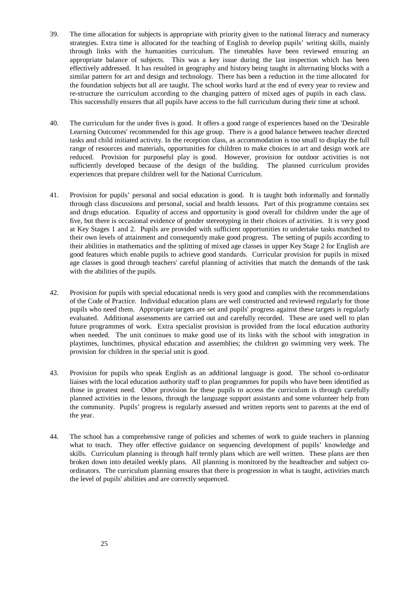- 39. The time allocation for subjects is appropriate with priority given to the national literacy and numeracy strategies. Extra time is allocated for the teaching of English to develop pupils' writing skills, mainly through links with the humanities curriculum. The timetables have been reviewed ensuring an appropriate balance of subjects. This was a key issue during the last inspection which has been effectively addressed. It has resulted in geography and history being taught in alternating blocks with a similar pattern for art and design and technology. There has been a reduction in the time allocated for the foundation subjects but all are taught. The school works hard at the end of every year to review and re-structure the curriculum according to the changing pattern of mixed ages of pupils in each class. This successfully ensures that all pupils have access to the full curriculum during their time at school.
- 40. The curriculum for the under fives is good. It offers a good range of experiences based on the 'Desirable Learning Outcomes' recommended for this age group. There is a good balance between teacher directed tasks and child initiated activity. In the reception class, as accommodation is too small to display the full range of resources and materials, opportunities for children to make choices in art and design work are reduced. Provision for purposeful play is good. However, provision for outdoor activities is not sufficiently developed because of the design of the building. The planned curriculum provides experiences that prepare children well for the National Curriculum.
- 41. Provision for pupils' personal and social education is good. It is taught both informally and formally through class discussions and personal, social and health lessons. Part of this programme contains sex and drugs education. Equality of access and opportunity is good overall for children under the age of five, but there is occasional evidence of gender stereotyping in their choices of activities. It is very good at Key Stages 1 and 2. Pupils are provided with sufficient opportunities to undertake tasks matched to their own levels of attainment and consequently make good progress. The setting of pupils according to their abilities in mathematics and the splitting of mixed age classes in upper Key Stage 2 for English are good features which enable pupils to achieve good standards. Curricular provision for pupils in mixed age classes is good through teachers' careful planning of activities that match the demands of the task with the abilities of the pupils.
- 42. Provision for pupils with special educational needs is very good and complies with the recommendations of the Code of Practice. Individual education plans are well constructed and reviewed regularly for those pupils who need them. Appropriate targets are set and pupils' progress against these targets is regularly evaluated. Additional assessments are carried out and carefully recorded. These are used well to plan future programmes of work. Extra specialist provision is provided from the local education authority when needed. The unit continues to make good use of its links with the school with integration in playtimes, lunchtimes, physical education and assemblies; the children go swimming very week. The provision for children in the special unit is good.
- 43. Provision for pupils who speak English as an additional language is good. The school co-ordinator liaises with the local education authority staff to plan programmes for pupils who have been identified as those in greatest need. Other provision for these pupils to access the curriculum is through carefully planned activities in the lessons, through the language support assistants and some volunteer help from the community. Pupils' progress is regularly assessed and written reports sent to parents at the end of the year.
- 44. The school has a comprehensive range of policies and schemes of work to guide teachers in planning what to teach. They offer effective guidance on sequencing development of pupils' knowledge and skills. Curriculum planning is through half termly plans which are well written. These plans are then broken down into detailed weekly plans. All planning is monitored by the headteacher and subject coordinators. The curriculum planning ensures that there is progression in what is taught, activities match the level of pupils' abilities and are correctly sequenced.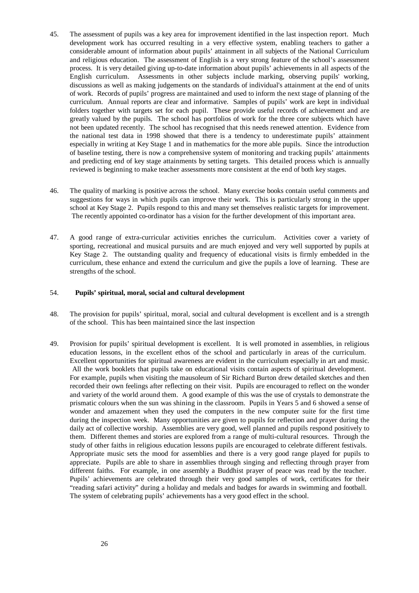- 45. The assessment of pupils was a key area for improvement identified in the last inspection report. Much development work has occurred resulting in a very effective system, enabling teachers to gather a considerable amount of information about pupils' attainment in all subjects of the National Curriculum and religious education. The assessment of English is a very strong feature of the school's assessment process. It is very detailed giving up-to-date information about pupils' achievements in all aspects of the English curriculum. Assessments in other subjects include marking, observing pupils' working, discussions as well as making judgements on the standards of individual's attainment at the end of units of work. Records of pupils' progress are maintained and used to inform the next stage of planning of the curriculum. Annual reports are clear and informative. Samples of pupils' work are kept in individual folders together with targets set for each pupil. These provide useful records of achievement and are greatly valued by the pupils. The school has portfolios of work for the three core subjects which have not been updated recently. The school has recognised that this needs renewed attention. Evidence from the national test data in 1998 showed that there is a tendency to underestimate pupils' attainment especially in writing at Key Stage 1 and in mathematics for the more able pupils. Since the introduction of baseline testing, there is now a comprehensive system of monitoring and tracking pupils' attainments and predicting end of key stage attainments by setting targets. This detailed process which is annually reviewed is beginning to make teacher assessments more consistent at the end of both key stages.
- 46. The quality of marking is positive across the school. Many exercise books contain useful comments and suggestions for ways in which pupils can improve their work. This is particularly strong in the upper school at Key Stage 2. Pupils respond to this and many set themselves realistic targets for improvement. The recently appointed co-ordinator has a vision for the further development of this important area.
- 47. A good range of extra-curricular activities enriches the curriculum. Activities cover a variety of sporting, recreational and musical pursuits and are much enjoyed and very well supported by pupils at Key Stage 2. The outstanding quality and frequency of educational visits is firmly embedded in the curriculum, these enhance and extend the curriculum and give the pupils a love of learning. These are strengths of the school.

#### 54. **Pupils' spiritual, moral, social and cultural development**

- 48. The provision for pupils' spiritual, moral, social and cultural development is excellent and is a strength of the school. This has been maintained since the last inspection
- 49. Provision for pupils' spiritual development is excellent. It is well promoted in assemblies, in religious education lessons, in the excellent ethos of the school and particularly in areas of the curriculum. Excellent opportunities for spiritual awareness are evident in the curriculum especially in art and music. All the work booklets that pupils take on educational visits contain aspects of spiritual development. For example, pupils when visiting the mausoleum of Sir Richard Burton drew detailed sketches and then recorded their own feelings after reflecting on their visit. Pupils are encouraged to reflect on the wonder and variety of the world around them. A good example of this was the use of crystals to demonstrate the prismatic colours when the sun was shining in the classroom. Pupils in Years 5 and 6 showed a sense of wonder and amazement when they used the computers in the new computer suite for the first time during the inspection week. Many opportunities are given to pupils for reflection and prayer during the daily act of collective worship. Assemblies are very good, well planned and pupils respond positively to them. Different themes and stories are explored from a range of multi-cultural resources. Through the study of other faiths in religious education lessons pupils are encouraged to celebrate different festivals. Appropriate music sets the mood for assemblies and there is a very good range played for pupils to appreciate. Pupils are able to share in assemblies through singing and reflecting through prayer from different faiths. For example, in one assembly a Buddhist prayer of peace was read by the teacher. Pupils' achievements are celebrated through their very good samples of work, certificates for their "reading safari activity" during a holiday and medals and badges for awards in swimming and football. The system of celebrating pupils' achievements has a very good effect in the school.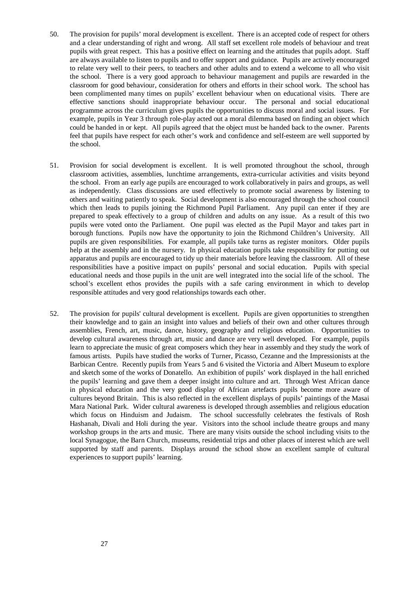- 50. The provision for pupils' moral development is excellent. There is an accepted code of respect for others and a clear understanding of right and wrong. All staff set excellent role models of behaviour and treat pupils with great respect. This has a positive effect on learning and the attitudes that pupils adopt. Staff are always available to listen to pupils and to offer support and guidance. Pupils are actively encouraged to relate very well to their peers, to teachers and other adults and to extend a welcome to all who visit the school. There is a very good approach to behaviour management and pupils are rewarded in the classroom for good behaviour, consideration for others and efforts in their school work. The school has been complimented many times on pupils' excellent behaviour when on educational visits. There are effective sanctions should inappropriate behaviour occur. The personal and social educational programme across the curriculum gives pupils the opportunities to discuss moral and social issues. For example, pupils in Year 3 through role-play acted out a moral dilemma based on finding an object which could be handed in or kept. All pupils agreed that the object must be handed back to the owner. Parents feel that pupils have respect for each other's work and confidence and self-esteem are well supported by the school.
- 51. Provision for social development is excellent. It is well promoted throughout the school, through classroom activities, assemblies, lunchtime arrangements, extra-curricular activities and visits beyond the school. From an early age pupils are encouraged to work collaboratively in pairs and groups, as well as independently. Class discussions are used effectively to promote social awareness by listening to others and waiting patiently to speak. Social development is also encouraged through the school council which then leads to pupils joining the Richmond Pupil Parliament. Any pupil can enter if they are prepared to speak effectively to a group of children and adults on any issue. As a result of this two pupils were voted onto the Parliament. One pupil was elected as the Pupil Mayor and takes part in borough functions. Pupils now have the opportunity to join the Richmond Children's University. All pupils are given responsibilities. For example, all pupils take turns as register monitors. Older pupils help at the assembly and in the nursery. In physical education pupils take responsibility for putting out apparatus and pupils are encouraged to tidy up their materials before leaving the classroom. All of these responsibilities have a positive impact on pupils' personal and social education. Pupils with special educational needs and those pupils in the unit are well integrated into the social life of the school. The school's excellent ethos provides the pupils with a safe caring environment in which to develop responsible attitudes and very good relationships towards each other.
- 52. The provision for pupils' cultural development is excellent. Pupils are given opportunities to strengthen their knowledge and to gain an insight into values and beliefs of their own and other cultures through assemblies, French, art, music, dance, history, geography and religious education. Opportunities to develop cultural awareness through art, music and dance are very well developed. For example, pupils learn to appreciate the music of great composers which they hear in assembly and they study the work of famous artists. Pupils have studied the works of Turner, Picasso, Cezanne and the Impressionists at the Barbican Centre. Recently pupils from Years 5 and 6 visited the Victoria and Albert Museum to explore and sketch some of the works of Donatello. An exhibition of pupils' work displayed in the hall enriched the pupils' learning and gave them a deeper insight into culture and art. Through West African dance in physical education and the very good display of African artefacts pupils become more aware of cultures beyond Britain. This is also reflected in the excellent displays of pupils' paintings of the Masai Mara National Park. Wider cultural awareness is developed through assemblies and religious education which focus on Hinduism and Judaism. The school successfully celebrates the festivals of Rosh Hashanah, Divali and Holi during the year. Visitors into the school include theatre groups and many workshop groups in the arts and music. There are many visits outside the school including visits to the local Synagogue, the Barn Church, museums, residential trips and other places of interest which are well supported by staff and parents. Displays around the school show an excellent sample of cultural experiences to support pupils' learning.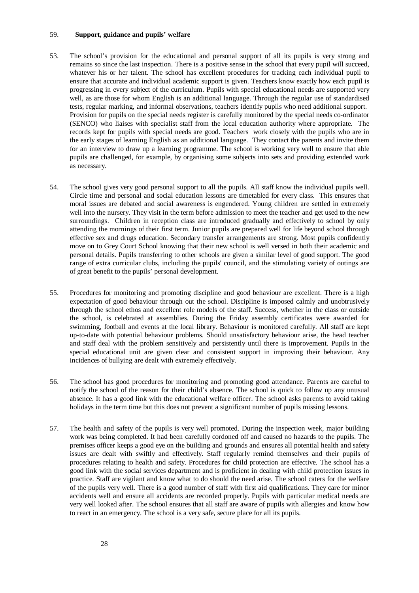#### 59. **Support, guidance and pupils' welfare**

- 53. The school's provision for the educational and personal support of all its pupils is very strong and remains so since the last inspection. There is a positive sense in the school that every pupil will succeed, whatever his or her talent. The school has excellent procedures for tracking each individual pupil to ensure that accurate and individual academic support is given. Teachers know exactly how each pupil is progressing in every subject of the curriculum. Pupils with special educational needs are supported very well, as are those for whom English is an additional language. Through the regular use of standardised tests, regular marking, and informal observations, teachers identify pupils who need additional support. Provision for pupils on the special needs register is carefully monitored by the special needs co-ordinator (SENCO) who liaises with specialist staff from the local education authority where appropriate. The records kept for pupils with special needs are good. Teachers work closely with the pupils who are in the early stages of learning English as an additional language. They contact the parents and invite them for an interview to draw up a learning programme. The school is working very well to ensure that able pupils are challenged, for example, by organising some subjects into sets and providing extended work as necessary.
- 54. The school gives very good personal support to all the pupils. All staff know the individual pupils well. Circle time and personal and social education lessons are timetabled for every class. This ensures that moral issues are debated and social awareness is engendered. Young children are settled in extremely well into the nursery. They visit in the term before admission to meet the teacher and get used to the new surroundings. Children in reception class are introduced gradually and effectively to school by only attending the mornings of their first term. Junior pupils are prepared well for life beyond school through effective sex and drugs education. Secondary transfer arrangements are strong. Most pupils confidently move on to Grey Court School knowing that their new school is well versed in both their academic and personal details. Pupils transferring to other schools are given a similar level of good support. The good range of extra curricular clubs, including the pupils' council, and the stimulating variety of outings are of great benefit to the pupils' personal development.
- 55. Procedures for monitoring and promoting discipline and good behaviour are excellent. There is a high expectation of good behaviour through out the school. Discipline is imposed calmly and unobtrusively through the school ethos and excellent role models of the staff. Success, whether in the class or outside the school, is celebrated at assemblies. During the Friday assembly certificates were awarded for swimming, football and events at the local library. Behaviour is monitored carefully. All staff are kept up-to-date with potential behaviour problems. Should unsatisfactory behaviour arise, the head teacher and staff deal with the problem sensitively and persistently until there is improvement. Pupils in the special educational unit are given clear and consistent support in improving their behaviour. Any incidences of bullying are dealt with extremely effectively.
- 56. The school has good procedures for monitoring and promoting good attendance. Parents are careful to notify the school of the reason for their child's absence. The school is quick to follow up any unusual absence. It has a good link with the educational welfare officer. The school asks parents to avoid taking holidays in the term time but this does not prevent a significant number of pupils missing lessons.
- 57. The health and safety of the pupils is very well promoted. During the inspection week, major building work was being completed. It had been carefully cordoned off and caused no hazards to the pupils. The premises officer keeps a good eye on the building and grounds and ensures all potential health and safety issues are dealt with swiftly and effectively. Staff regularly remind themselves and their pupils of procedures relating to health and safety. Procedures for child protection are effective. The school has a good link with the social services department and is proficient in dealing with child protection issues in practice. Staff are vigilant and know what to do should the need arise. The school caters for the welfare of the pupils very well. There is a good number of staff with first aid qualifications. They care for minor accidents well and ensure all accidents are recorded properly. Pupils with particular medical needs are very well looked after. The school ensures that all staff are aware of pupils with allergies and know how to react in an emergency. The school is a very safe, secure place for all its pupils.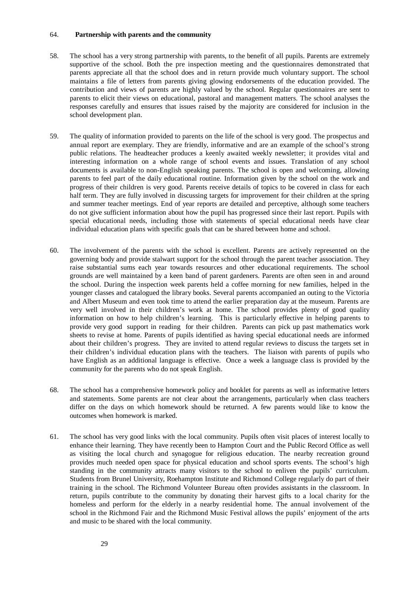#### 64. **Partnership with parents and the community**

- 58. The school has a very strong partnership with parents, to the benefit of all pupils. Parents are extremely supportive of the school. Both the pre inspection meeting and the questionnaires demonstrated that parents appreciate all that the school does and in return provide much voluntary support. The school maintains a file of letters from parents giving glowing endorsements of the education provided. The contribution and views of parents are highly valued by the school. Regular questionnaires are sent to parents to elicit their views on educational, pastoral and management matters. The school analyses the responses carefully and ensures that issues raised by the majority are considered for inclusion in the school development plan.
- 59. The quality of information provided to parents on the life of the school is very good. The prospectus and annual report are exemplary. They are friendly, informative and are an example of the school's strong public relations. The headteacher produces a keenly awaited weekly newsletter; it provides vital and interesting information on a whole range of school events and issues. Translation of any school documents is available to non-English speaking parents. The school is open and welcoming, allowing parents to feel part of the daily educational routine. Information given by the school on the work and progress of their children is very good. Parents receive details of topics to be covered in class for each half term. They are fully involved in discussing targets for improvement for their children at the spring and summer teacher meetings. End of year reports are detailed and perceptive, although some teachers do not give sufficient information about how the pupil has progressed since their last report. Pupils with special educational needs, including those with statements of special educational needs have clear individual education plans with specific goals that can be shared between home and school.
- 60. The involvement of the parents with the school is excellent. Parents are actively represented on the governing body and provide stalwart support for the school through the parent teacher association. They raise substantial sums each year towards resources and other educational requirements. The school grounds are well maintained by a keen band of parent gardeners. Parents are often seen in and around the school. During the inspection week parents held a coffee morning for new families, helped in the younger classes and catalogued the library books. Several parents accompanied an outing to the Victoria and Albert Museum and even took time to attend the earlier preparation day at the museum. Parents are very well involved in their children's work at home. The school provides plenty of good quality information on how to help children's learning. This is particularly effective in helping parents to provide very good support in reading for their children. Parents can pick up past mathematics work sheets to revise at home. Parents of pupils identified as having special educational needs are informed about their children's progress. They are invited to attend regular reviews to discuss the targets set in their children's individual education plans with the teachers. The liaison with parents of pupils who have English as an additional language is effective. Once a week a language class is provided by the community for the parents who do not speak English.
- 68. The school has a comprehensive homework policy and booklet for parents as well as informative letters and statements. Some parents are not clear about the arrangements, particularly when class teachers differ on the days on which homework should be returned. A few parents would like to know the outcomes when homework is marked.
- 61. The school has very good links with the local community. Pupils often visit places of interest locally to enhance their learning. They have recently been to Hampton Court and the Public Record Office as well as visiting the local church and synagogue for religious education. The nearby recreation ground provides much needed open space for physical education and school sports events. The school's high standing in the community attracts many visitors to the school to enliven the pupils' curriculum. Students from Brunel University, Roehampton Institute and Richmond College regularly do part of their training in the school. The Richmond Volunteer Bureau often provides assistants in the classroom. In return, pupils contribute to the community by donating their harvest gifts to a local charity for the homeless and perform for the elderly in a nearby residential home. The annual involvement of the school in the Richmond Fair and the Richmond Music Festival allows the pupils' enjoyment of the arts and music to be shared with the local community.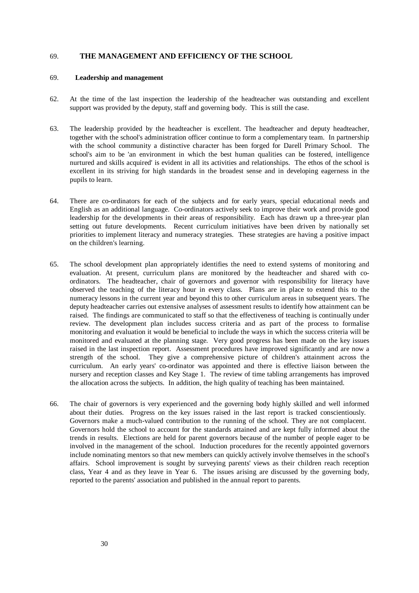#### 69. **THE MANAGEMENT AND EFFICIENCY OF THE SCHOOL**

#### 69. **Leadership and management**

- 62. At the time of the last inspection the leadership of the headteacher was outstanding and excellent support was provided by the deputy, staff and governing body. This is still the case.
- 63. The leadership provided by the headteacher is excellent. The headteacher and deputy headteacher, together with the school's administration officer continue to form a complementary team. In partnership with the school community a distinctive character has been forged for Darell Primary School. The school's aim to be 'an environment in which the best human qualities can be fostered, intelligence nurtured and skills acquired' is evident in all its activities and relationships. The ethos of the school is excellent in its striving for high standards in the broadest sense and in developing eagerness in the pupils to learn.
- 64. There are co-ordinators for each of the subjects and for early years, special educational needs and English as an additional language. Co-ordinators actively seek to improve their work and provide good leadership for the developments in their areas of responsibility. Each has drawn up a three-year plan setting out future developments. Recent curriculum initiatives have been driven by nationally set priorities to implement literacy and numeracy strategies. These strategies are having a positive impact on the children's learning.
- 65. The school development plan appropriately identifies the need to extend systems of monitoring and evaluation. At present, curriculum plans are monitored by the headteacher and shared with coordinators. The headteacher, chair of governors and governor with responsibility for literacy have observed the teaching of the literacy hour in every class. Plans are in place to extend this to the numeracy lessons in the current year and beyond this to other curriculum areas in subsequent years. The deputy headteacher carries out extensive analyses of assessment results to identify how attainment can be raised. The findings are communicated to staff so that the effectiveness of teaching is continually under review. The development plan includes success criteria and as part of the process to formalise monitoring and evaluation it would be beneficial to include the ways in which the success criteria will be monitored and evaluated at the planning stage. Very good progress has been made on the key issues raised in the last inspection report. Assessment procedures have improved significantly and are now a strength of the school. They give a comprehensive picture of children's attainment across the curriculum. An early years' co-ordinator was appointed and there is effective liaison between the nursery and reception classes and Key Stage 1. The review of time tabling arrangements has improved the allocation across the subjects. In addition, the high quality of teaching has been maintained.
- 66. The chair of governors is very experienced and the governing body highly skilled and well informed about their duties. Progress on the key issues raised in the last report is tracked conscientiously. Governors make a much-valued contribution to the running of the school. They are not complacent. Governors hold the school to account for the standards attained and are kept fully informed about the trends in results. Elections are held for parent governors because of the number of people eager to be involved in the management of the school. Induction procedures for the recently appointed governors include nominating mentors so that new members can quickly actively involve themselves in the school's affairs. School improvement is sought by surveying parents' views as their children reach reception class, Year 4 and as they leave in Year 6. The issues arising are discussed by the governing body, reported to the parents' association and published in the annual report to parents.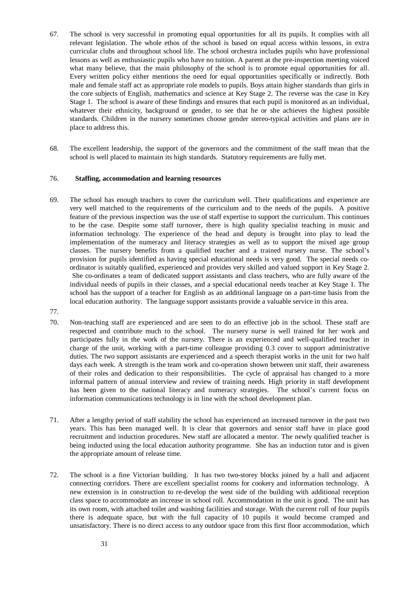- 67. The school is very successful in promoting equal opportunities for all its pupils. It complies with all relevant legislation. The whole ethos of the school is based on equal access within lessons, in extra curricular clubs and throughout school life. The school orchestra includes pupils who have professional lessons as well as enthusiastic pupils who have no tuition. A parent at the pre-inspection meeting voiced what many believe, that the main philosophy of the school is to promote equal opportunities for all. Every written policy either mentions the need for equal opportunities specifically or indirectly. Both male and female staff act as appropriate role models to pupils. Boys attain higher standards than girls in the core subjects of English, mathematics and science at Key Stage 2. The reverse was the case in Key Stage 1. The school is aware of these findings and ensures that each pupil is monitored as an individual, whatever their ethnicity, background or gender, to see that he or she achieves the highest possible standards. Children in the nursery sometimes choose gender stereo-typical activities and plans are in place to address this.
- 68. The excellent leadership, the support of the governors and the commitment of the staff mean that the school is well placed to maintain its high standards. Statutory requirements are fully met.

#### 76. **Staffing, accommodation and learning resources**

- 69. The school has enough teachers to cover the curriculum well. Their qualifications and experience are very well matched to the requirements of the curriculum and to the needs of the pupils. A positive feature of the previous inspection was the use of staff expertise to support the curriculum. This continues to be the case. Despite some staff turnover, there is high quality specialist teaching in music and information technology. The experience of the head and deputy is brought into play to lead the implementation of the numeracy and literacy strategies as well as to support the mixed age group classes. The nursery benefits from a qualified teacher and a trained nursery nurse. The school's provision for pupils identified as having special educational needs is very good. The special needs coordinator is suitably qualified, experienced and provides very skilled and valued support in Key Stage 2. She co-ordinates a team of dedicated support assistants and class teachers, who are fully aware of the individual needs of pupils in their classes, and a special educational needs teacher at Key Stage 1. The school has the support of a teacher for English as an additional language on a part-time basis from the local education authority. The language support assistants provide a valuable service in this area.
- 77.
- 70. Non-teaching staff are experienced and are seen to do an effective job in the school. These staff are respected and contribute much to the school. The nursery nurse is well trained for her work and participates fully in the work of the nursery. There is an experienced and well-qualified teacher in charge of the unit, working with a part-time colleague providing 0.3 cover to support administrative duties. The two support assistants are experienced and a speech therapist works in the unit for two half days each week. A strength is the team work and co-operation shown between unit staff, their awareness of their roles and dedication to their responsibilities. The cycle of appraisal has changed to a more informal pattern of annual interview and review of training needs. High priority in staff development has been given to the national literacy and numeracy strategies. The school's current focus on information communications technology is in line with the school development plan.
- 71. After a lengthy period of staff stability the school has experienced an increased turnover in the past two years. This has been managed well. It is clear that governors and senior staff have in place good recruitment and induction procedures. New staff are allocated a mentor. The newly qualified teacher is being inducted using the local education authority programme. She has an induction tutor and is given the appropriate amount of release time.
- 72. The school is a fine Victorian building. It has two two-storey blocks joined by a hall and adjacent connecting corridors. There are excellent specialist rooms for cookery and information technology. A new extension is in construction to re-develop the west side of the building with additional reception class space to accommodate an increase in school roll. Accommodation in the unit is good. The unit has its own room, with attached toilet and washing facilities and storage. With the current roll of four pupils there is adequate space, but with the full capacity of 10 pupils it would become cramped and unsatisfactory. There is no direct access to any outdoor space from this first floor accommodation, which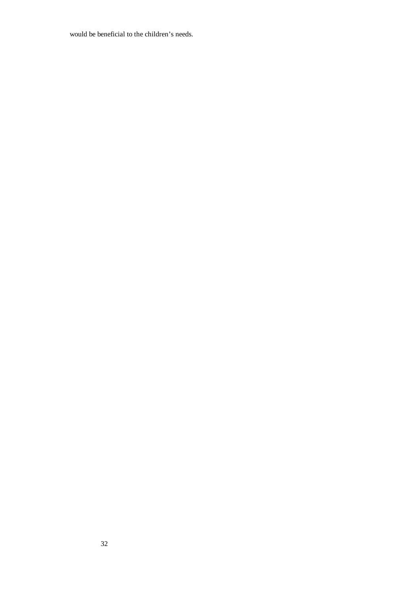would be beneficial to the children's needs.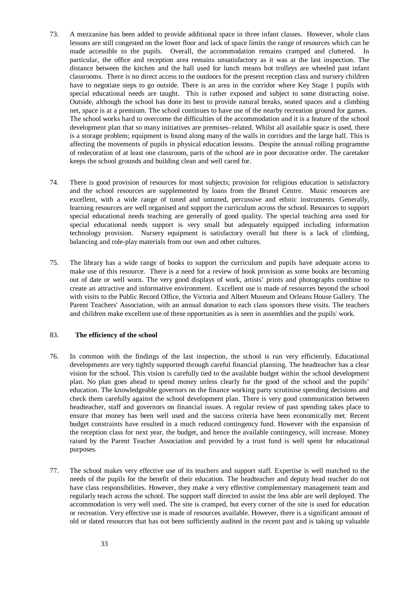- 73. A mezzanine has been added to provide additional space in three infant classes. However, whole class lessons are still congested on the lower floor and lack of space limits the range of resources which can be made accessible to the pupils. Overall, the accommodation remains cramped and cluttered. In particular, the office and reception area remains unsatisfactory as it was at the last inspection. The distance between the kitchen and the hall used for lunch means hot trolleys are wheeled past infant classrooms. There is no direct access to the outdoors for the present reception class and nursery children have to negotiate steps to go outside. There is an area in the corridor where Key Stage 1 pupils with special educational needs are taught. This is rather exposed and subject to some distracting noise. Outside, although the school has done its best to provide natural breaks, seated spaces and a climbing net, space is at a premium. The school continues to have use of the nearby recreation ground for games. The school works hard to overcome the difficulties of the accommodation and it is a feature of the school development plan that so many initiatives are premises–related. Whilst all available space is used, there is a storage problem; equipment is found along many of the walls in corridors and the large hall. This is affecting the movements of pupils in physical education lessons. Despite the annual rolling programme of redecoration of at least one classroom, parts of the school are in poor decorative order. The caretaker keeps the school grounds and building clean and well cared for.
- 74. There is good provision of resources for most subjects; provision for religious education is satisfactory and the school resources are supplemented by loans from the Brunel Centre. Music resources are excellent, with a wide range of tuned and untuned, percussive and ethnic instruments. Generally, learning resources are well organised and support the curriculum across the school. Resources to support special educational needs teaching are generally of good quality. The special teaching area used for special educational needs support is very small but adequately equipped including information technology provision. Nursery equipment is satisfactory overall but there is a lack of climbing, balancing and role-play materials from our own and other cultures.
- 75. The library has a wide range of books to support the curriculum and pupils have adequate access to make use of this resource. There is a need for a review of book provision as some books are becoming out of date or well worn. The very good displays of work, artists' prints and photographs combine to create an attractive and informative environment. Excellent use is made of resources beyond the school with visits to the Public Record Office, the Victoria and Albert Museum and Orleans House Gallery. The Parent Teachers' Association, with an annual donation to each class sponsors these visits. The teachers and children make excellent use of these opportunities as is seen in assemblies and the pupils' work.

#### 83. **The efficiency of the school**

- 76. In common with the findings of the last inspection, the school is run very efficiently. Educational developments are very tightly supported through careful financial planning. The headteacher has a clear vision for the school. This vision is carefully tied to the available budget within the school development plan. No plan goes ahead to spend money unless clearly for the good of the school and the pupils' education. The knowledgeable governors on the finance working party scrutinise spending decisions and check them carefully against the school development plan. There is very good communication between headteacher, staff and governors on financial issues. A regular review of past spending takes place to ensure that money has been well used and the success criteria have been economically met. Recent budget constraints have resulted in a much reduced contingency fund. However with the expansion of the reception class for next year, the budget, and hence the available contingency, will increase. Money raised by the Parent Teacher Association and provided by a trust fund is well spent for educational purposes.
- 77. The school makes very effective use of its teachers and support staff. Expertise is well matched to the needs of the pupils for the benefit of their education. The headteacher and deputy head teacher do not have class responsibilities. However, they make a very effective complementary management team and regularly teach across the school. The support staff directed to assist the less able are well deployed. The accommodation is very well used. The site is cramped, but every corner of the site is used for education or recreation. Very effective use is made of resources available. However, there is a significant amount of old or dated resources that has not been sufficiently audited in the recent past and is taking up valuable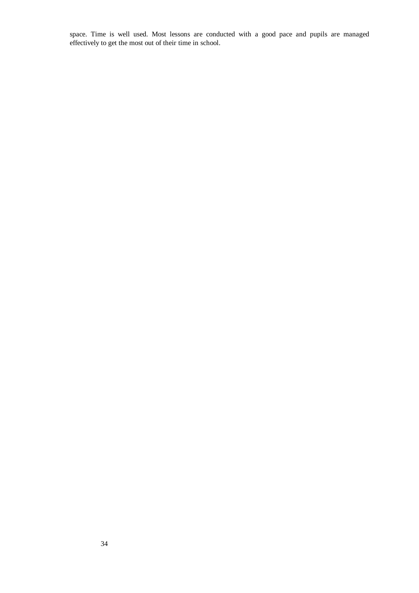space. Time is well used. Most lessons are conducted with a good pace and pupils are managed effectively to get the most out of their time in school.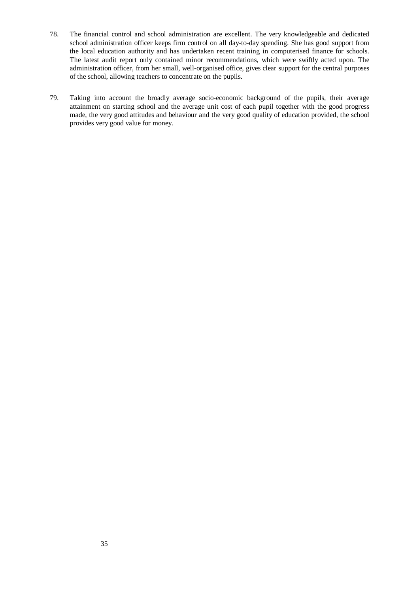- 78. The financial control and school administration are excellent. The very knowledgeable and dedicated school administration officer keeps firm control on all day-to-day spending. She has good support from the local education authority and has undertaken recent training in computerised finance for schools. The latest audit report only contained minor recommendations, which were swiftly acted upon. The administration officer, from her small, well-organised office, gives clear support for the central purposes of the school, allowing teachers to concentrate on the pupils.
- 79. Taking into account the broadly average socio-economic background of the pupils, their average attainment on starting school and the average unit cost of each pupil together with the good progress made, the very good attitudes and behaviour and the very good quality of education provided, the school provides very good value for money.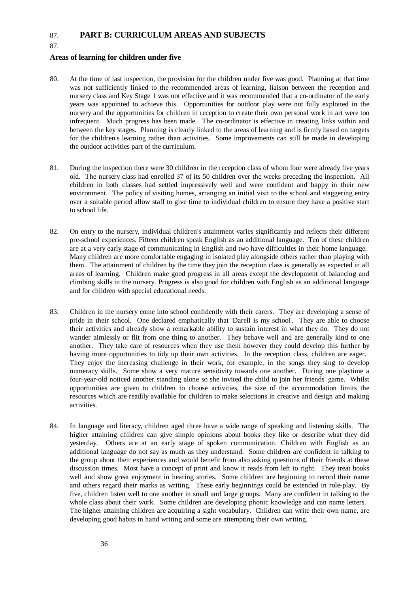#### 87. **PART B: CURRICULUM AREAS AND SUBJECTS**

87.

#### **Areas of learning for children under five**

- 80. At the time of last inspection, the provision for the children under five was good. Planning at that time was not sufficiently linked to the recommended areas of learning, liaison between the reception and nursery class and Key Stage 1 was not effective and it was recommended that a co-ordinator of the early years was appointed to achieve this. Opportunities for outdoor play were not fully exploited in the nursery and the opportunities for children in reception to create their own personal work in art were too infrequent. Much progress has been made. The co-ordinator is effective in creating links within and between the key stages. Planning is clearly linked to the areas of learning and is firmly based on targets for the children's learning rather than activities. Some improvements can still be made in developing the outdoor activities part of the curriculum.
- 81. During the inspection there were 30 children in the reception class of whom four were already five years old. The nursery class had enrolled 37 of its 50 children over the weeks preceding the inspection. All children in both classes had settled impressively well and were confident and happy in their new environment. The policy of visiting homes, arranging an initial visit to the school and staggering entry over a suitable period allow staff to give time to individual children to ensure they have a positive start to school life.
- 82. On entry to the nursery, individual children's attainment varies significantly and reflects their different pre-school experiences. Fifteen children speak English as an additional language. Ten of these children are at a very early stage of communicating in English and two have difficulties in their home language. Many children are more comfortable engaging in isolated play alongside others rather than playing with them. The attainment of children by the time they join the reception class is generally as expected in all areas of learning. Children make good progress in all areas except the development of balancing and climbing skills in the nursery. Progress is also good for children with English as an additional language and for children with special educational needs.
- 83. Children in the nursery come into school confidently with their carers. They are developing a sense of pride in their school. One declared emphatically that 'Darell is my school'. They are able to choose their activities and already show a remarkable ability to sustain interest in what they do. They do not wander aimlessly or flit from one thing to another. They behave well and are generally kind to one another. They take care of resources when they use them however they could develop this further by having more opportunities to tidy up their own activities. In the reception class, children are eager. They enjoy the increasing challenge in their work, for example, in the songs they sing to develop numeracy skills. Some show a very mature sensitivity towards one another. During one playtime a four-year-old noticed another standing alone so she invited the child to join her friends' game. Whilst opportunities are given to children to choose activities, the size of the accommodation limits the resources which are readily available for children to make selections in creative and design and making activities.
- 84. In language and literacy, children aged three have a wide range of speaking and listening skills. The higher attaining children can give simple opinions about books they like or describe what they did yesterday. Others are at an early stage of spoken communication. Children with English as an additional language do not say as much as they understand. Some children are confident in talking to the group about their experiences and would benefit from also asking questions of their friends at these discussion times. Most have a concept of print and know it reads from left to right. They treat books well and show great enjoyment in hearing stories. Some children are beginning to record their name and others regard their marks as writing. These early beginnings could be extended in role-play. By five, children listen well to one another in small and large groups. Many are confident in talking to the whole class about their work. Some children are developing phonic knowledge and can name letters. The higher attaining children are acquiring a sight vocabulary. Children can write their own name, are developing good habits in hand writing and some are attempting their own writing.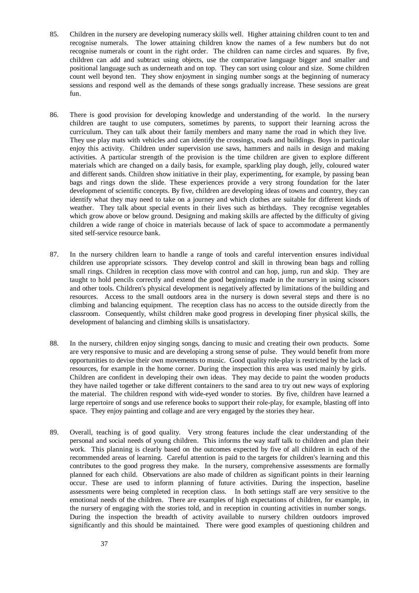- 85. Children in the nursery are developing numeracy skills well. Higher attaining children count to ten and recognise numerals. The lower attaining children know the names of a few numbers but do not recognise numerals or count in the right order. The children can name circles and squares. By five, children can add and subtract using objects, use the comparative language bigger and smaller and positional language such as underneath and on top. They can sort using colour and size. Some children count well beyond ten. They show enjoyment in singing number songs at the beginning of numeracy sessions and respond well as the demands of these songs gradually increase. These sessions are great fun.
- 86. There is good provision for developing knowledge and understanding of the world. In the nursery children are taught to use computers, sometimes by parents, to support their learning across the curriculum. They can talk about their family members and many name the road in which they live. They use play mats with vehicles and can identify the crossings, roads and buildings. Boys in particular enjoy this activity. Children under supervision use saws, hammers and nails in design and making activities. A particular strength of the provision is the time children are given to explore different materials which are changed on a daily basis, for example, sparkling play dough, jelly, coloured water and different sands. Children show initiative in their play, experimenting, for example, by passing bean bags and rings down the slide. These experiences provide a very strong foundation for the later development of scientific concepts. By five, children are developing ideas of towns and country, they can identify what they may need to take on a journey and which clothes are suitable for different kinds of weather. They talk about special events in their lives such as birthdays. They recognise vegetables which grow above or below ground. Designing and making skills are affected by the difficulty of giving children a wide range of choice in materials because of lack of space to accommodate a permanently sited self-service resource bank.
- 87. In the nursery children learn to handle a range of tools and careful intervention ensures individual children use appropriate scissors. They develop control and skill in throwing bean bags and rolling small rings. Children in reception class move with control and can hop, jump, run and skip. They are taught to hold pencils correctly and extend the good beginnings made in the nursery in using scissors and other tools. Children's physical development is negatively affected by limitations of the building and resources. Access to the small outdoors area in the nursery is down several steps and there is no climbing and balancing equipment. The reception class has no access to the outside directly from the classroom. Consequently, whilst children make good progress in developing finer physical skills, the development of balancing and climbing skills is unsatisfactory.
- 88. In the nursery, children enjoy singing songs, dancing to music and creating their own products. Some are very responsive to music and are developing a strong sense of pulse. They would benefit from more opportunities to devise their own movements to music. Good quality role-play is restricted by the lack of resources, for example in the home corner. During the inspection this area was used mainly by girls. Children are confident in developing their own ideas. They may decide to paint the wooden products they have nailed together or take different containers to the sand area to try out new ways of exploring the material. The children respond with wide-eyed wonder to stories. By five, children have learned a large repertoire of songs and use reference books to support their role-play, for example, blasting off into space. They enjoy painting and collage and are very engaged by the stories they hear.
- 89. Overall, teaching is of good quality. Very strong features include the clear understanding of the personal and social needs of young children. This informs the way staff talk to children and plan their work. This planning is clearly based on the outcomes expected by five of all children in each of the recommended areas of learning. Careful attention is paid to the targets for children's learning and this contributes to the good progress they make. In the nursery, comprehensive assessments are formally planned for each child. Observations are also made of children as significant points in their learning occur. These are used to inform planning of future activities. During the inspection, baseline assessments were being completed in reception class. In both settings staff are very sensitive to the emotional needs of the children. There are examples of high expectations of children, for example, in the nursery of engaging with the stories told, and in reception in counting activities in number songs. During the inspection the breadth of activity available to nursery children outdoors improved significantly and this should be maintained. There were good examples of questioning children and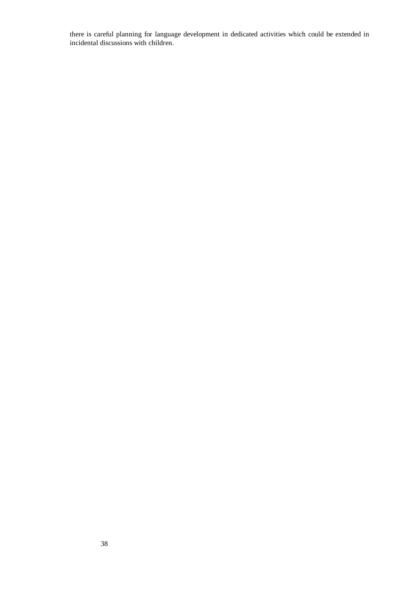there is careful planning for language development in dedicated activities which could be extended in incidental discussions with children.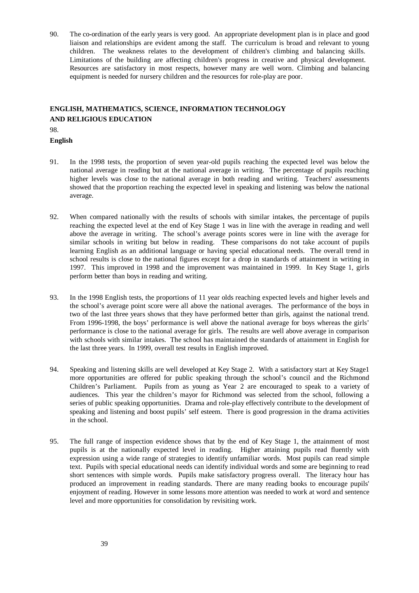90. The co-ordination of the early years is very good. An appropriate development plan is in place and good liaison and relationships are evident among the staff. The curriculum is broad and relevant to young children. The weakness relates to the development of children's climbing and balancing skills. Limitations of the building are affecting children's progress in creative and physical development. Resources are satisfactory in most respects, however many are well worn. Climbing and balancing equipment is needed for nursery children and the resources for role-play are poor.

# **ENGLISH, MATHEMATICS, SCIENCE, INFORMATION TECHNOLOGY AND RELIGIOUS EDUCATION**

98.

#### **English**

- 91. In the 1998 tests, the proportion of seven year-old pupils reaching the expected level was below the national average in reading but at the national average in writing. The percentage of pupils reaching higher levels was close to the national average in both reading and writing. Teachers' assessments showed that the proportion reaching the expected level in speaking and listening was below the national average.
- 92. When compared nationally with the results of schools with similar intakes, the percentage of pupils reaching the expected level at the end of Key Stage 1 was in line with the average in reading and well above the average in writing. The school's average points scores were in line with the average for similar schools in writing but below in reading. These comparisons do not take account of pupils learning English as an additional language or having special educational needs. The overall trend in school results is close to the national figures except for a drop in standards of attainment in writing in 1997. This improved in 1998 and the improvement was maintained in 1999. In Key Stage 1, girls perform better than boys in reading and writing.
- 93. In the 1998 English tests, the proportions of 11 year olds reaching expected levels and higher levels and the school's average point score were all above the national averages. The performance of the boys in two of the last three years shows that they have performed better than girls, against the national trend. From 1996-1998, the boys' performance is well above the national average for boys whereas the girls' performance is close to the national average for girls. The results are well above average in comparison with schools with similar intakes. The school has maintained the standards of attainment in English for the last three years. In 1999, overall test results in English improved.
- 94. Speaking and listening skills are well developed at Key Stage 2. With a satisfactory start at Key Stage1 more opportunities are offered for public speaking through the school's council and the Richmond Children's Parliament. Pupils from as young as Year 2 are encouraged to speak to a variety of audiences. This year the children's mayor for Richmond was selected from the school, following a series of public speaking opportunities. Drama and role-play effectively contribute to the development of speaking and listening and boost pupils' self esteem. There is good progression in the drama activities in the school.
- 95. The full range of inspection evidence shows that by the end of Key Stage 1, the attainment of most pupils is at the nationally expected level in reading. Higher attaining pupils read fluently with expression using a wide range of strategies to identify unfamiliar words. Most pupils can read simple text. Pupils with special educational needs can identify individual words and some are beginning to read short sentences with simple words. Pupils make satisfactory progress overall. The literacy hour has produced an improvement in reading standards. There are many reading books to encourage pupils' enjoyment of reading. However in some lessons more attention was needed to work at word and sentence level and more opportunities for consolidation by revisiting work.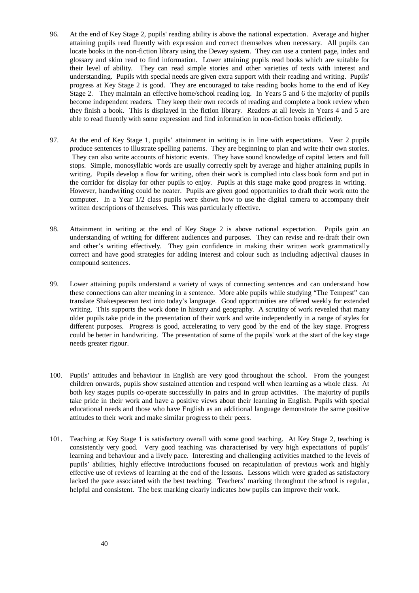- 96. At the end of Key Stage 2, pupils' reading ability is above the national expectation. Average and higher attaining pupils read fluently with expression and correct themselves when necessary. All pupils can locate books in the non-fiction library using the Dewey system. They can use a content page, index and glossary and skim read to find information. Lower attaining pupils read books which are suitable for their level of ability. They can read simple stories and other varieties of texts with interest and understanding. Pupils with special needs are given extra support with their reading and writing. Pupils' progress at Key Stage 2 is good. They are encouraged to take reading books home to the end of Key Stage 2. They maintain an effective home/school reading log. In Years 5 and 6 the majority of pupils become independent readers. They keep their own records of reading and complete a book review when they finish a book. This is displayed in the fiction library. Readers at all levels in Years 4 and 5 are able to read fluently with some expression and find information in non-fiction books efficiently.
- 97. At the end of Key Stage 1, pupils' attainment in writing is in line with expectations. Year 2 pupils produce sentences to illustrate spelling patterns. They are beginning to plan and write their own stories. They can also write accounts of historic events. They have sound knowledge of capital letters and full stops. Simple, monosyllabic words are usually correctly spelt by average and higher attaining pupils in writing. Pupils develop a flow for writing, often their work is complied into class book form and put in the corridor for display for other pupils to enjoy. Pupils at this stage make good progress in writing. However, handwriting could be neater. Pupils are given good opportunities to draft their work onto the computer. In a Year 1/2 class pupils were shown how to use the digital camera to accompany their written descriptions of themselves. This was particularly effective.
- 98. Attainment in writing at the end of Key Stage 2 is above national expectation. Pupils gain an understanding of writing for different audiences and purposes. They can revise and re-draft their own and other's writing effectively. They gain confidence in making their written work grammatically correct and have good strategies for adding interest and colour such as including adjectival clauses in compound sentences.
- 99. Lower attaining pupils understand a variety of ways of connecting sentences and can understand how these connections can alter meaning in a sentence. More able pupils while studying "The Tempest" can translate Shakespearean text into today's language. Good opportunities are offered weekly for extended writing. This supports the work done in history and geography. A scrutiny of work revealed that many older pupils take pride in the presentation of their work and write independently in a range of styles for different purposes. Progress is good, accelerating to very good by the end of the key stage. Progress could be better in handwriting. The presentation of some of the pupils' work at the start of the key stage needs greater rigour.
- 100. Pupils' attitudes and behaviour in English are very good throughout the school. From the youngest children onwards, pupils show sustained attention and respond well when learning as a whole class. At both key stages pupils co-operate successfully in pairs and in group activities. The majority of pupils take pride in their work and have a positive views about their learning in English. Pupils with special educational needs and those who have English as an additional language demonstrate the same positive attitudes to their work and make similar progress to their peers.
- 101. Teaching at Key Stage 1 is satisfactory overall with some good teaching. At Key Stage 2, teaching is consistently very good. Very good teaching was characterised by very high expectations of pupils' learning and behaviour and a lively pace. Interesting and challenging activities matched to the levels of pupils' abilities, highly effective introductions focused on recapitulation of previous work and highly effective use of reviews of learning at the end of the lessons. Lessons which were graded as satisfactory lacked the pace associated with the best teaching. Teachers' marking throughout the school is regular, helpful and consistent. The best marking clearly indicates how pupils can improve their work.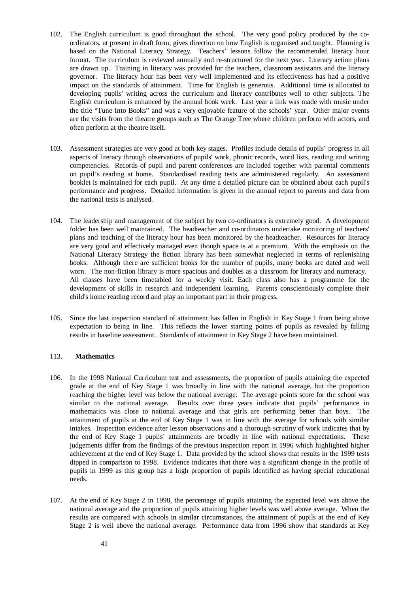- 102. The English curriculum is good throughout the school. The very good policy produced by the coordinators, at present in draft form, gives direction on how English is organised and taught. Planning is based on the National Literacy Strategy. Teachers' lessons follow the recommended literacy hour format. The curriculum is reviewed annually and re-structured for the next year. Literacy action plans are drawn up. Training in literacy was provided for the teachers, classroom assistants and the literacy governor. The literacy hour has been very well implemented and its effectiveness has had a positive impact on the standards of attainment. Time for English is generous. Additional time is allocated to developing pupils' writing across the curriculum and literacy contributes well to other subjects. The English curriculum is enhanced by the annual book week. Last year a link was made with music under the title "Tune Into Books" and was a very enjoyable feature of the schools' year. Other major events are the visits from the theatre groups such as The Orange Tree where children perform with actors, and often perform at the theatre itself.
- 103. Assessment strategies are very good at both key stages. Profiles include details of pupils' progress in all aspects of literacy through observations of pupils' work, phonic records, word lists, reading and writing competencies. Records of pupil and parent conferences are included together with parental comments on pupil's reading at home. Standardised reading tests are administered regularly. An assessment booklet is maintained for each pupil. At any time a detailed picture can be obtained about each pupil's performance and progress. Detailed information is given in the annual report to parents and data from the national tests is analysed.
- 104. The leadership and management of the subject by two co-ordinators is extremely good. A development folder has been well maintained. The headteacher and co-ordinators undertake monitoring of teachers' plans and teaching of the literacy hour has been monitored by the headteacher. Resources for literacy are very good and effectively managed even though space is at a premium. With the emphasis on the National Literacy Strategy the fiction library has been somewhat neglected in terms of replenishing books. Although there are sufficient books for the number of pupils, many books are dated and well worn. The non-fiction library is more spacious and doubles as a classroom for literacy and numeracy. All classes have been timetabled for a weekly visit. Each class also has a programme for the development of skills in research and independent learning. Parents conscientiously complete their child's home reading record and play an important part in their progress.
- 105. Since the last inspection standard of attainment has fallen in English in Key Stage 1 from being above expectation to being in line. This reflects the lower starting points of pupils as revealed by falling results in baseline assessment. Standards of attainment in Key Stage 2 have been maintained.

#### 113. **Mathematics**

- 106. In the 1998 National Curriculum test and assessments, the proportion of pupils attaining the expected grade at the end of Key Stage 1 was broadly in line with the national average, but the proportion reaching the higher level was below the national average. The average points score for the school was similar to the national average. Results over three years indicate that pupils' performance in mathematics was close to national average and that girls are performing better than boys. The attainment of pupils at the end of Key Stage 1 was in line with the average for schools with similar intakes. Inspection evidence after lesson observations and a thorough scrutiny of work indicates that by the end of Key Stage 1 pupils' attainments are broadly in line with national expectations. These judgements differ from the findings of the previous inspection report in 1996 which highlighted higher achievement at the end of Key Stage 1. Data provided by the school shows that results in the 1999 tests dipped in comparison to 1998. Evidence indicates that there was a significant change in the profile of pupils in 1999 as this group has a high proportion of pupils identified as having special educational needs.
- 107. At the end of Key Stage 2 in 1998, the percentage of pupils attaining the expected level was above the national average and the proportion of pupils attaining higher levels was well above average. When the results are compared with schools in similar circumstances, the attainment of pupils at the end of Key Stage 2 is well above the national average. Performance data from 1996 show that standards at Key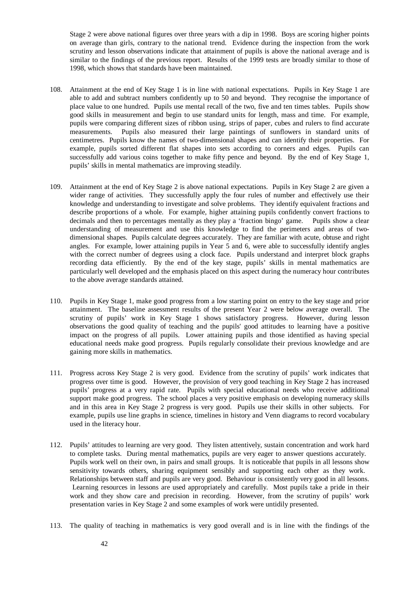Stage 2 were above national figures over three years with a dip in 1998. Boys are scoring higher points on average than girls, contrary to the national trend. Evidence during the inspection from the work scrutiny and lesson observations indicate that attainment of pupils is above the national average and is similar to the findings of the previous report. Results of the 1999 tests are broadly similar to those of 1998, which shows that standards have been maintained.

- 108. Attainment at the end of Key Stage 1 is in line with national expectations. Pupils in Key Stage 1 are able to add and subtract numbers confidently up to 50 and beyond. They recognise the importance of place value to one hundred. Pupils use mental recall of the two, five and ten times tables. Pupils show good skills in measurement and begin to use standard units for length, mass and time. For example, pupils were comparing different sizes of ribbon using, strips of paper, cubes and rulers to find accurate measurements. Pupils also measured their large paintings of sunflowers in standard units of centimetres. Pupils know the names of two-dimensional shapes and can identify their properties. For example, pupils sorted different flat shapes into sets according to corners and edges. Pupils can successfully add various coins together to make fifty pence and beyond. By the end of Key Stage 1, pupils' skills in mental mathematics are improving steadily.
- 109. Attainment at the end of Key Stage 2 is above national expectations. Pupils in Key Stage 2 are given a wider range of activities. They successfully apply the four rules of number and effectively use their knowledge and understanding to investigate and solve problems. They identify equivalent fractions and describe proportions of a whole. For example, higher attaining pupils confidently convert fractions to decimals and then to percentages mentally as they play a 'fraction bingo' game. Pupils show a clear understanding of measurement and use this knowledge to find the perimeters and areas of twodimensional shapes. Pupils calculate degrees accurately. They are familiar with acute, obtuse and right angles. For example, lower attaining pupils in Year 5 and 6, were able to successfully identify angles with the correct number of degrees using a clock face. Pupils understand and interpret block graphs recording data efficiently. By the end of the key stage, pupils' skills in mental mathematics are particularly well developed and the emphasis placed on this aspect during the numeracy hour contributes to the above average standards attained.
- 110. Pupils in Key Stage 1, make good progress from a low starting point on entry to the key stage and prior attainment. The baseline assessment results of the present Year 2 were below average overall. The scrutiny of pupils' work in Key Stage 1 shows satisfactory progress. However, during lesson observations the good quality of teaching and the pupils' good attitudes to learning have a positive impact on the progress of all pupils. Lower attaining pupils and those identified as having special educational needs make good progress. Pupils regularly consolidate their previous knowledge and are gaining more skills in mathematics.
- 111. Progress across Key Stage 2 is very good. Evidence from the scrutiny of pupils' work indicates that progress over time is good. However, the provision of very good teaching in Key Stage 2 has increased pupils' progress at a very rapid rate. Pupils with special educational needs who receive additional support make good progress. The school places a very positive emphasis on developing numeracy skills and in this area in Key Stage 2 progress is very good. Pupils use their skills in other subjects. For example, pupils use line graphs in science, timelines in history and Venn diagrams to record vocabulary used in the literacy hour.
- 112. Pupils' attitudes to learning are very good. They listen attentively, sustain concentration and work hard to complete tasks. During mental mathematics, pupils are very eager to answer questions accurately. Pupils work well on their own, in pairs and small groups. It is noticeable that pupils in all lessons show sensitivity towards others, sharing equipment sensibly and supporting each other as they work. Relationships between staff and pupils are very good. Behaviour is consistently very good in all lessons. Learning resources in lessons are used appropriately and carefully. Most pupils take a pride in their work and they show care and precision in recording. However, from the scrutiny of pupils' work presentation varies in Key Stage 2 and some examples of work were untidily presented.
- 113. The quality of teaching in mathematics is very good overall and is in line with the findings of the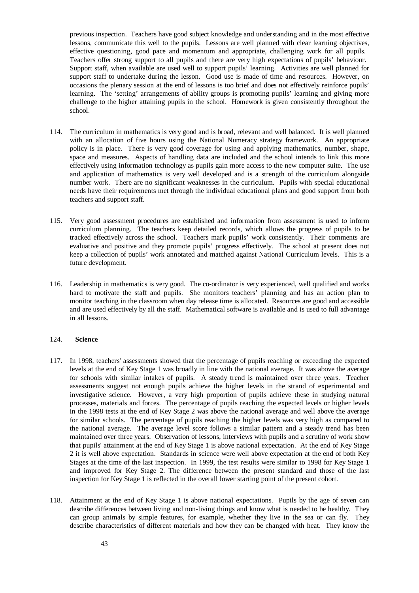previous inspection. Teachers have good subject knowledge and understanding and in the most effective lessons, communicate this well to the pupils. Lessons are well planned with clear learning objectives, effective questioning, good pace and momentum and appropriate, challenging work for all pupils. Teachers offer strong support to all pupils and there are very high expectations of pupils' behaviour. Support staff, when available are used well to support pupils' learning. Activities are well planned for support staff to undertake during the lesson. Good use is made of time and resources. However, on occasions the plenary session at the end of lessons is too brief and does not effectively reinforce pupils' learning. The 'setting' arrangements of ability groups is promoting pupils' learning and giving more challenge to the higher attaining pupils in the school. Homework is given consistently throughout the school.

- 114. The curriculum in mathematics is very good and is broad, relevant and well balanced. It is well planned with an allocation of five hours using the National Numeracy strategy framework. An appropriate policy is in place. There is very good coverage for using and applying mathematics, number, shape, space and measures. Aspects of handling data are included and the school intends to link this more effectively using information technology as pupils gain more access to the new computer suite. The use and application of mathematics is very well developed and is a strength of the curriculum alongside number work. There are no significant weaknesses in the curriculum. Pupils with special educational needs have their requirements met through the individual educational plans and good support from both teachers and support staff.
- 115. Very good assessment procedures are established and information from assessment is used to inform curriculum planning. The teachers keep detailed records, which allows the progress of pupils to be tracked effectively across the school. Teachers mark pupils' work consistently. Their comments are evaluative and positive and they promote pupils' progress effectively. The school at present does not keep a collection of pupils' work annotated and matched against National Curriculum levels. This is a future development.
- 116. Leadership in mathematics is very good. The co-ordinator is very experienced, well qualified and works hard to motivate the staff and pupils. She monitors teachers' planning and has an action plan to monitor teaching in the classroom when day release time is allocated. Resources are good and accessible and are used effectively by all the staff. Mathematical software is available and is used to full advantage in all lessons.

#### 124. **Science**

- 117. In 1998, teachers' assessments showed that the percentage of pupils reaching or exceeding the expected levels at the end of Key Stage 1 was broadly in line with the national average. It was above the average for schools with similar intakes of pupils. A steady trend is maintained over three years. Teacher assessments suggest not enough pupils achieve the higher levels in the strand of experimental and investigative science. However, a very high proportion of pupils achieve these in studying natural processes, materials and forces. The percentage of pupils reaching the expected levels or higher levels in the 1998 tests at the end of Key Stage 2 was above the national average and well above the average for similar schools. The percentage of pupils reaching the higher levels was very high as compared to the national average. The average level score follows a similar pattern and a steady trend has been maintained over three years. Observation of lessons, interviews with pupils and a scrutiny of work show that pupils' attainment at the end of Key Stage 1 is above national expectation. At the end of Key Stage 2 it is well above expectation. Standards in science were well above expectation at the end of both Key Stages at the time of the last inspection. In 1999, the test results were similar to 1998 for Key Stage 1 and improved for Key Stage 2. The difference between the present standard and those of the last inspection for Key Stage 1 is reflected in the overall lower starting point of the present cohort.
- 118. Attainment at the end of Key Stage 1 is above national expectations. Pupils by the age of seven can describe differences between living and non-living things and know what is needed to be healthy. They can group animals by simple features, for example, whether they live in the sea or can fly. They describe characteristics of different materials and how they can be changed with heat. They know the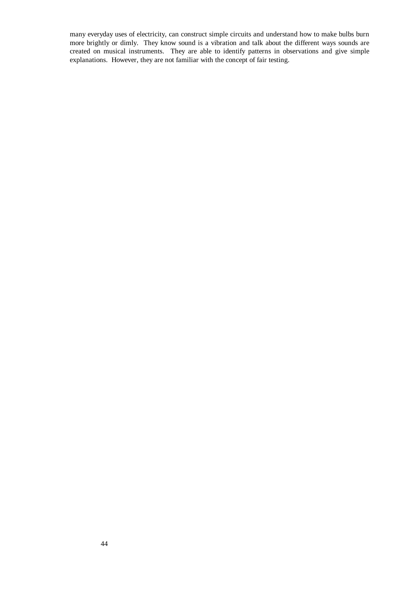many everyday uses of electricity, can construct simple circuits and understand how to make bulbs burn more brightly or dimly. They know sound is a vibration and talk about the different ways sounds are created on musical instruments. They are able to identify patterns in observations and give simple explanations. However, they are not familiar with the concept of fair testing.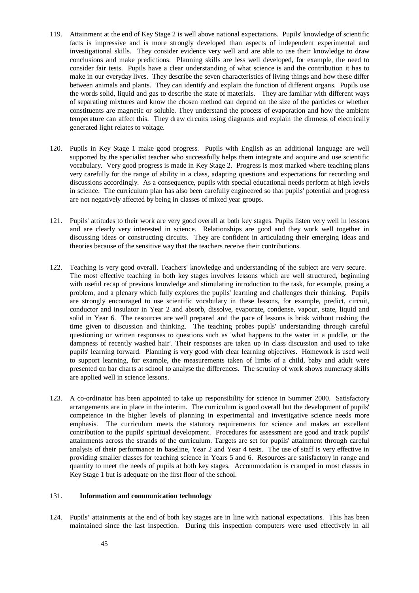- 119. Attainment at the end of Key Stage 2 is well above national expectations. Pupils' knowledge of scientific facts is impressive and is more strongly developed than aspects of independent experimental and investigational skills. They consider evidence very well and are able to use their knowledge to draw conclusions and make predictions. Planning skills are less well developed, for example, the need to consider fair tests. Pupils have a clear understanding of what science is and the contribution it has to make in our everyday lives. They describe the seven characteristics of living things and how these differ between animals and plants. They can identify and explain the function of different organs. Pupils use the words solid, liquid and gas to describe the state of materials. They are familiar with different ways of separating mixtures and know the chosen method can depend on the size of the particles or whether constituents are magnetic or soluble. They understand the process of evaporation and how the ambient temperature can affect this. They draw circuits using diagrams and explain the dimness of electrically generated light relates to voltage.
- 120. Pupils in Key Stage 1 make good progress. Pupils with English as an additional language are well supported by the specialist teacher who successfully helps them integrate and acquire and use scientific vocabulary. Very good progress is made in Key Stage 2. Progress is most marked where teaching plans very carefully for the range of ability in a class, adapting questions and expectations for recording and discussions accordingly. As a consequence, pupils with special educational needs perform at high levels in science. The curriculum plan has also been carefully engineered so that pupils' potential and progress are not negatively affected by being in classes of mixed year groups.
- 121. Pupils' attitudes to their work are very good overall at both key stages. Pupils listen very well in lessons and are clearly very interested in science. Relationships are good and they work well together in discussing ideas or constructing circuits. They are confident in articulating their emerging ideas and theories because of the sensitive way that the teachers receive their contributions.
- 122. Teaching is very good overall. Teachers' knowledge and understanding of the subject are very secure. The most effective teaching in both key stages involves lessons which are well structured, beginning with useful recap of previous knowledge and stimulating introduction to the task, for example, posing a problem, and a plenary which fully explores the pupils' learning and challenges their thinking. Pupils are strongly encouraged to use scientific vocabulary in these lessons, for example, predict, circuit, conductor and insulator in Year 2 and absorb, dissolve, evaporate, condense, vapour, state, liquid and solid in Year 6. The resources are well prepared and the pace of lessons is brisk without rushing the time given to discussion and thinking. The teaching probes pupils' understanding through careful questioning or written responses to questions such as 'what happens to the water in a puddle, or the dampness of recently washed hair'. Their responses are taken up in class discussion and used to take pupils' learning forward. Planning is very good with clear learning objectives. Homework is used well to support learning, for example, the measurements taken of limbs of a child, baby and adult were presented on bar charts at school to analyse the differences. The scrutiny of work shows numeracy skills are applied well in science lessons.
- 123. A co-ordinator has been appointed to take up responsibility for science in Summer 2000. Satisfactory arrangements are in place in the interim. The curriculum is good overall but the development of pupils' competence in the higher levels of planning in experimental and investigative science needs more emphasis. The curriculum meets the statutory requirements for science and makes an excellent contribution to the pupils' spiritual development. Procedures for assessment are good and track pupils' attainments across the strands of the curriculum. Targets are set for pupils' attainment through careful analysis of their performance in baseline, Year 2 and Year 4 tests. The use of staff is very effective in providing smaller classes for teaching science in Years 5 and 6. Resources are satisfactory in range and quantity to meet the needs of pupils at both key stages. Accommodation is cramped in most classes in Key Stage 1 but is adequate on the first floor of the school.

#### 131. **Information and communication technology**

124. Pupils' attainments at the end of both key stages are in line with national expectations. This has been maintained since the last inspection. During this inspection computers were used effectively in all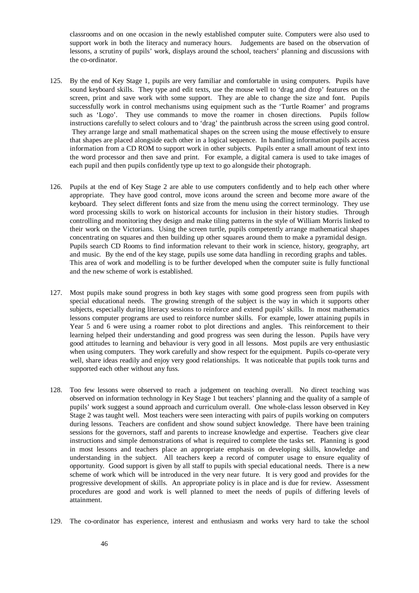classrooms and on one occasion in the newly established computer suite. Computers were also used to support work in both the literacy and numeracy hours. Judgements are based on the observation of lessons, a scrutiny of pupils' work, displays around the school, teachers' planning and discussions with the co-ordinator.

- 125. By the end of Key Stage 1, pupils are very familiar and comfortable in using computers. Pupils have sound keyboard skills. They type and edit texts, use the mouse well to 'drag and drop' features on the screen, print and save work with some support. They are able to change the size and font. Pupils successfully work in control mechanisms using equipment such as the 'Turtle Roamer' and programs such as 'Logo'. They use commands to move the roamer in chosen directions. Pupils follow instructions carefully to select colours and to 'drag' the paintbrush across the screen using good control. They arrange large and small mathematical shapes on the screen using the mouse effectively to ensure that shapes are placed alongside each other in a logical sequence. In handling information pupils access information from a CD ROM to support work in other subjects. Pupils enter a small amount of text into the word processor and then save and print. For example, a digital camera is used to take images of each pupil and then pupils confidently type up text to go alongside their photograph.
- 126. Pupils at the end of Key Stage 2 are able to use computers confidently and to help each other where appropriate. They have good control, move icons around the screen and become more aware of the keyboard. They select different fonts and size from the menu using the correct terminology. They use word processing skills to work on historical accounts for inclusion in their history studies. Through controlling and monitoring they design and make tiling patterns in the style of William Morris linked to their work on the Victorians. Using the screen turtle, pupils competently arrange mathematical shapes concentrating on squares and then building up other squares around them to make a pyramidal design. Pupils search CD Rooms to find information relevant to their work in science, history, geography, art and music. By the end of the key stage, pupils use some data handling in recording graphs and tables. This area of work and modelling is to be further developed when the computer suite is fully functional and the new scheme of work is established.
- 127. Most pupils make sound progress in both key stages with some good progress seen from pupils with special educational needs. The growing strength of the subject is the way in which it supports other subjects, especially during literacy sessions to reinforce and extend pupils' skills. In most mathematics lessons computer programs are used to reinforce number skills. For example, lower attaining pupils in Year 5 and 6 were using a roamer robot to plot directions and angles. This reinforcement to their learning helped their understanding and good progress was seen during the lesson. Pupils have very good attitudes to learning and behaviour is very good in all lessons. Most pupils are very enthusiastic when using computers. They work carefully and show respect for the equipment. Pupils co-operate very well, share ideas readily and enjoy very good relationships. It was noticeable that pupils took turns and supported each other without any fuss.
- 128. Too few lessons were observed to reach a judgement on teaching overall. No direct teaching was observed on information technology in Key Stage 1 but teachers' planning and the quality of a sample of pupils' work suggest a sound approach and curriculum overall. One whole-class lesson observed in Key Stage 2 was taught well. Most teachers were seen interacting with pairs of pupils working on computers during lessons. Teachers are confident and show sound subject knowledge. There have been training sessions for the governors, staff and parents to increase knowledge and expertise. Teachers give clear instructions and simple demonstrations of what is required to complete the tasks set. Planning is good in most lessons and teachers place an appropriate emphasis on developing skills, knowledge and understanding in the subject. All teachers keep a record of computer usage to ensure equality of opportunity. Good support is given by all staff to pupils with special educational needs. There is a new scheme of work which will be introduced in the very near future. It is very good and provides for the progressive development of skills. An appropriate policy is in place and is due for review. Assessment procedures are good and work is well planned to meet the needs of pupils of differing levels of attainment.
- 129. The co-ordinator has experience, interest and enthusiasm and works very hard to take the school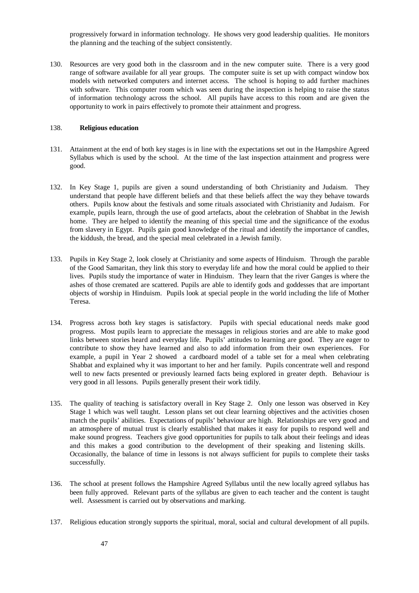progressively forward in information technology. He shows very good leadership qualities. He monitors the planning and the teaching of the subject consistently.

130. Resources are very good both in the classroom and in the new computer suite. There is a very good range of software available for all year groups. The computer suite is set up with compact window box models with networked computers and internet access. The school is hoping to add further machines with software. This computer room which was seen during the inspection is helping to raise the status of information technology across the school. All pupils have access to this room and are given the opportunity to work in pairs effectively to promote their attainment and progress.

#### 138. **Religious education**

- 131. Attainment at the end of both key stages is in line with the expectations set out in the Hampshire Agreed Syllabus which is used by the school. At the time of the last inspection attainment and progress were good.
- 132. In Key Stage 1, pupils are given a sound understanding of both Christianity and Judaism. They understand that people have different beliefs and that these beliefs affect the way they behave towards others. Pupils know about the festivals and some rituals associated with Christianity and Judaism. For example, pupils learn, through the use of good artefacts, about the celebration of Shabbat in the Jewish home. They are helped to identify the meaning of this special time and the significance of the exodus from slavery in Egypt. Pupils gain good knowledge of the ritual and identify the importance of candles, the kiddush, the bread, and the special meal celebrated in a Jewish family.
- 133. Pupils in Key Stage 2, look closely at Christianity and some aspects of Hinduism. Through the parable of the Good Samaritan, they link this story to everyday life and how the moral could be applied to their lives. Pupils study the importance of water in Hinduism. They learn that the river Ganges is where the ashes of those cremated are scattered. Pupils are able to identify gods and goddesses that are important objects of worship in Hinduism. Pupils look at special people in the world including the life of Mother Teresa.
- 134. Progress across both key stages is satisfactory. Pupils with special educational needs make good progress. Most pupils learn to appreciate the messages in religious stories and are able to make good links between stories heard and everyday life. Pupils' attitudes to learning are good. They are eager to contribute to show they have learned and also to add information from their own experiences. For example, a pupil in Year 2 showed a cardboard model of a table set for a meal when celebrating Shabbat and explained why it was important to her and her family. Pupils concentrate well and respond well to new facts presented or previously learned facts being explored in greater depth. Behaviour is very good in all lessons. Pupils generally present their work tidily.
- 135. The quality of teaching is satisfactory overall in Key Stage 2. Only one lesson was observed in Key Stage 1 which was well taught. Lesson plans set out clear learning objectives and the activities chosen match the pupils' abilities. Expectations of pupils' behaviour are high. Relationships are very good and an atmosphere of mutual trust is clearly established that makes it easy for pupils to respond well and make sound progress. Teachers give good opportunities for pupils to talk about their feelings and ideas and this makes a good contribution to the development of their speaking and listening skills. Occasionally, the balance of time in lessons is not always sufficient for pupils to complete their tasks successfully.
- 136. The school at present follows the Hampshire Agreed Syllabus until the new locally agreed syllabus has been fully approved. Relevant parts of the syllabus are given to each teacher and the content is taught well. Assessment is carried out by observations and marking.
- 137. Religious education strongly supports the spiritual, moral, social and cultural development of all pupils.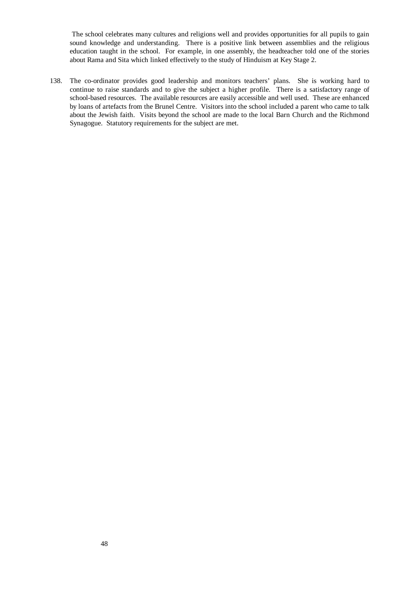The school celebrates many cultures and religions well and provides opportunities for all pupils to gain sound knowledge and understanding. There is a positive link between assemblies and the religious education taught in the school. For example, in one assembly, the headteacher told one of the stories about Rama and Sita which linked effectively to the study of Hinduism at Key Stage 2.

138. The co-ordinator provides good leadership and monitors teachers' plans. She is working hard to continue to raise standards and to give the subject a higher profile. There is a satisfactory range of school-based resources. The available resources are easily accessible and well used. These are enhanced by loans of artefacts from the Brunel Centre. Visitors into the school included a parent who came to talk about the Jewish faith. Visits beyond the school are made to the local Barn Church and the Richmond Synagogue. Statutory requirements for the subject are met.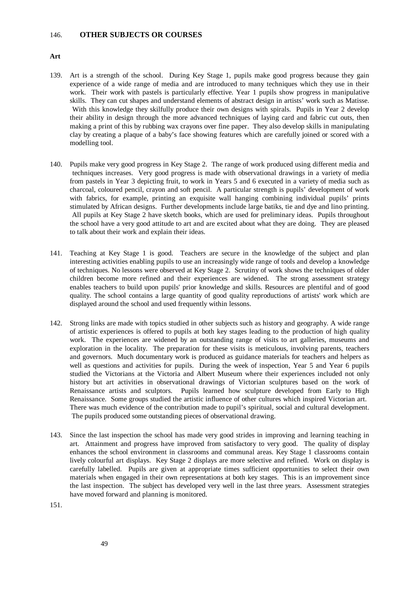#### 146. **OTHER SUBJECTS OR COURSES**

#### **Art**

- 139. Art is a strength of the school. During Key Stage 1, pupils make good progress because they gain experience of a wide range of media and are introduced to many techniques which they use in their work. Their work with pastels is particularly effective. Year 1 pupils show progress in manipulative skills. They can cut shapes and understand elements of abstract design in artists' work such as Matisse. With this knowledge they skilfully produce their own designs with spirals. Pupils in Year 2 develop their ability in design through the more advanced techniques of laying card and fabric cut outs, then making a print of this by rubbing wax crayons over fine paper. They also develop skills in manipulating clay by creating a plaque of a baby's face showing features which are carefully joined or scored with a modelling tool.
- 140. Pupils make very good progress in Key Stage 2. The range of work produced using different media and techniques increases. Very good progress is made with observational drawings in a variety of media from pastels in Year 3 depicting fruit, to work in Years 5 and 6 executed in a variety of media such as charcoal, coloured pencil, crayon and soft pencil. A particular strength is pupils' development of work with fabrics, for example, printing an exquisite wall hanging combining individual pupils' prints stimulated by African designs. Further developments include large batiks, tie and dye and lino printing. All pupils at Key Stage 2 have sketch books, which are used for preliminary ideas. Pupils throughout the school have a very good attitude to art and are excited about what they are doing. They are pleased to talk about their work and explain their ideas.
- 141. Teaching at Key Stage 1 is good. Teachers are secure in the knowledge of the subject and plan interesting activities enabling pupils to use an increasingly wide range of tools and develop a knowledge of techniques. No lessons were observed at Key Stage 2. Scrutiny of work shows the techniques of older children become more refined and their experiences are widened. The strong assessment strategy enables teachers to build upon pupils' prior knowledge and skills. Resources are plentiful and of good quality. The school contains a large quantity of good quality reproductions of artists' work which are displayed around the school and used frequently within lessons.
- 142. Strong links are made with topics studied in other subjects such as history and geography. A wide range of artistic experiences is offered to pupils at both key stages leading to the production of high quality work. The experiences are widened by an outstanding range of visits to art galleries, museums and exploration in the locality. The preparation for these visits is meticulous, involving parents, teachers and governors. Much documentary work is produced as guidance materials for teachers and helpers as well as questions and activities for pupils. During the week of inspection, Year 5 and Year 6 pupils studied the Victorians at the Victoria and Albert Museum where their experiences included not only history but art activities in observational drawings of Victorian sculptures based on the work of Renaissance artists and sculptors. Pupils learned how sculpture developed from Early to High Renaissance. Some groups studied the artistic influence of other cultures which inspired Victorian art. There was much evidence of the contribution made to pupil's spiritual, social and cultural development. The pupils produced some outstanding pieces of observational drawing.
- 143. Since the last inspection the school has made very good strides in improving and learning teaching in art. Attainment and progress have improved from satisfactory to very good. The quality of display enhances the school environment in classrooms and communal areas. Key Stage 1 classrooms contain lively colourful art displays. Key Stage 2 displays are more selective and refined. Work on display is carefully labelled. Pupils are given at appropriate times sufficient opportunities to select their own materials when engaged in their own representations at both key stages. This is an improvement since the last inspection. The subject has developed very well in the last three years. Assessment strategies have moved forward and planning is monitored.

151.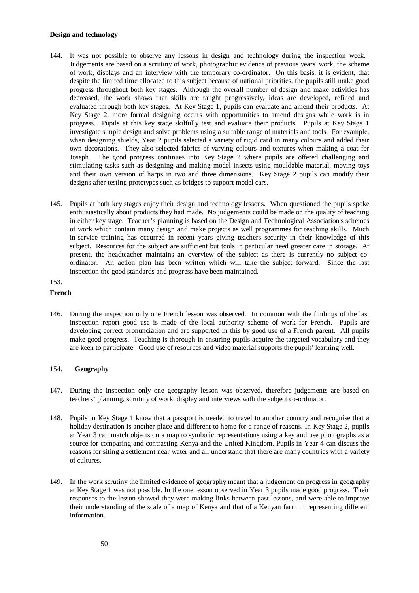#### **Design and technology**

- 144. It was not possible to observe any lessons in design and technology during the inspection week. Judgements are based on a scrutiny of work, photographic evidence of previous years' work, the scheme of work, displays and an interview with the temporary co-ordinator. On this basis, it is evident, that despite the limited time allocated to this subject because of national priorities, the pupils still make good progress throughout both key stages. Although the overall number of design and make activities has decreased, the work shows that skills are taught progressively, ideas are developed, refined and evaluated through both key stages. At Key Stage 1, pupils can evaluate and amend their products. At Key Stage 2, more formal designing occurs with opportunities to amend designs while work is in progress. Pupils at this key stage skilfully test and evaluate their products. Pupils at Key Stage 1 investigate simple design and solve problems using a suitable range of materials and tools. For example, when designing shields, Year 2 pupils selected a variety of rigid card in many colours and added their own decorations. They also selected fabrics of varying colours and textures when making a coat for Joseph. The good progress continues into Key Stage 2 where pupils are offered challenging and stimulating tasks such as designing and making model insects using mouldable material, moving toys and their own version of harps in two and three dimensions. Key Stage 2 pupils can modify their designs after testing prototypes such as bridges to support model cars.
- 145. Pupils at both key stages enjoy their design and technology lessons. When questioned the pupils spoke enthusiastically about products they had made. No judgements could be made on the quality of teaching in either key stage. Teacher's planning is based on the Design and Technological Association's schemes of work which contain many design and make projects as well programmes for teaching skills. Much in-service training has occurred in recent years giving teachers security in their knowledge of this subject. Resources for the subject are sufficient but tools in particular need greater care in storage. At present, the headteacher maintains an overview of the subject as there is currently no subject coordinator. An action plan has been written which will take the subject forward. Since the last inspection the good standards and progress have been maintained.

#### 153.

#### **French**

146. During the inspection only one French lesson was observed. In common with the findings of the last inspection report good use is made of the local authority scheme of work for French. Pupils are developing correct pronunciation and are supported in this by good use of a French parent. All pupils make good progress. Teaching is thorough in ensuring pupils acquire the targeted vocabulary and they are keen to participate. Good use of resources and video material supports the pupils' learning well.

#### 154. **Geography**

- 147. During the inspection only one geography lesson was observed, therefore judgements are based on teachers' planning, scrutiny of work, display and interviews with the subject co-ordinator.
- 148. Pupils in Key Stage 1 know that a passport is needed to travel to another country and recognise that a holiday destination is another place and different to home for a range of reasons. In Key Stage 2, pupils at Year 3 can match objects on a map to symbolic representations using a key and use photographs as a source for comparing and contrasting Kenya and the United Kingdom. Pupils in Year 4 can discuss the reasons for siting a settlement near water and all understand that there are many countries with a variety of cultures.
- 149. In the work scrutiny the limited evidence of geography meant that a judgement on progress in geography at Key Stage 1 was not possible. In the one lesson observed in Year 3 pupils made good progress. Their responses to the lesson showed they were making links between past lessons, and were able to improve their understanding of the scale of a map of Kenya and that of a Kenyan farm in representing different information.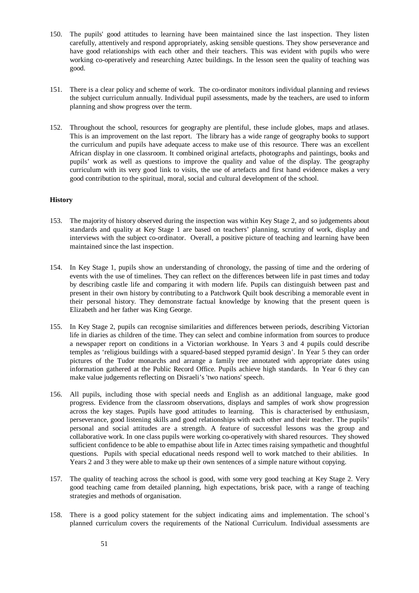- 150. The pupils' good attitudes to learning have been maintained since the last inspection. They listen carefully, attentively and respond appropriately, asking sensible questions. They show perseverance and have good relationships with each other and their teachers. This was evident with pupils who were working co-operatively and researching Aztec buildings. In the lesson seen the quality of teaching was good.
- 151. There is a clear policy and scheme of work. The co-ordinator monitors individual planning and reviews the subject curriculum annually. Individual pupil assessments, made by the teachers, are used to inform planning and show progress over the term.
- 152. Throughout the school, resources for geography are plentiful, these include globes, maps and atlases. This is an improvement on the last report. The library has a wide range of geography books to support the curriculum and pupils have adequate access to make use of this resource. There was an excellent African display in one classroom. It combined original artefacts, photographs and paintings, books and pupils' work as well as questions to improve the quality and value of the display. The geography curriculum with its very good link to visits, the use of artefacts and first hand evidence makes a very good contribution to the spiritual, moral, social and cultural development of the school.

#### **History**

- 153. The majority of history observed during the inspection was within Key Stage 2, and so judgements about standards and quality at Key Stage 1 are based on teachers' planning, scrutiny of work, display and interviews with the subject co-ordinator. Overall, a positive picture of teaching and learning have been maintained since the last inspection.
- 154. In Key Stage 1, pupils show an understanding of chronology, the passing of time and the ordering of events with the use of timelines. They can reflect on the differences between life in past times and today by describing castle life and comparing it with modern life. Pupils can distinguish between past and present in their own history by contributing to a Patchwork Quilt book describing a memorable event in their personal history. They demonstrate factual knowledge by knowing that the present queen is Elizabeth and her father was King George.
- 155. In Key Stage 2, pupils can recognise similarities and differences between periods, describing Victorian life in diaries as children of the time. They can select and combine information from sources to produce a newspaper report on conditions in a Victorian workhouse. In Years 3 and 4 pupils could describe temples as 'religious buildings with a squared-based stepped pyramid design'. In Year 5 they can order pictures of the Tudor monarchs and arrange a family tree annotated with appropriate dates using information gathered at the Public Record Office. Pupils achieve high standards. In Year 6 they can make value judgements reflecting on Disraeli's 'two nations' speech.
- 156. All pupils, including those with special needs and English as an additional language, make good progress. Evidence from the classroom observations, displays and samples of work show progression across the key stages. Pupils have good attitudes to learning. This is characterised by enthusiasm, perseverance, good listening skills and good relationships with each other and their teacher. The pupils' personal and social attitudes are a strength. A feature of successful lessons was the group and collaborative work. In one class pupils were working co-operatively with shared resources. They showed sufficient confidence to be able to empathise about life in Aztec times raising sympathetic and thoughtful questions. Pupils with special educational needs respond well to work matched to their abilities. In Years 2 and 3 they were able to make up their own sentences of a simple nature without copying.
- 157. The quality of teaching across the school is good, with some very good teaching at Key Stage 2. Very good teaching came from detailed planning, high expectations, brisk pace, with a range of teaching strategies and methods of organisation.
- 158. There is a good policy statement for the subject indicating aims and implementation. The school's planned curriculum covers the requirements of the National Curriculum. Individual assessments are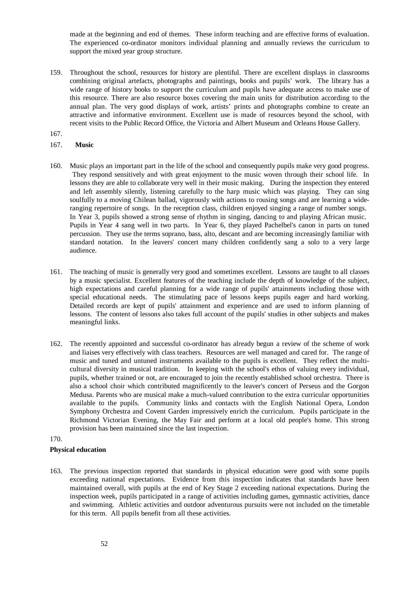made at the beginning and end of themes. These inform teaching and are effective forms of evaluation. The experienced co-ordinator monitors individual planning and annually reviews the curriculum to support the mixed year group structure.

- 159. Throughout the school, resources for history are plentiful. There are excellent displays in classrooms combining original artefacts, photographs and paintings, books and pupils' work. The library has a wide range of history books to support the curriculum and pupils have adequate access to make use of this resource. There are also resource boxes covering the main units for distribution according to the annual plan. The very good displays of work, artists' prints and photographs combine to create an attractive and informative environment. Excellent use is made of resources beyond the school, with recent visits to the Public Record Office, the Victoria and Albert Museum and Orleans House Gallery.
- 167.
- 167. **Music**
- 160. Music plays an important part in the life of the school and consequently pupils make very good progress. They respond sensitively and with great enjoyment to the music woven through their school life. In lessons they are able to collaborate very well in their music making. During the inspection they entered and left assembly silently, listening carefully to the harp music which was playing. They can sing soulfully to a moving Chilean ballad, vigorously with actions to rousing songs and are learning a wideranging repertoire of songs. In the reception class, children enjoyed singing a range of number songs. In Year 3, pupils showed a strong sense of rhythm in singing, dancing to and playing African music. Pupils in Year 4 sang well in two parts. In Year 6, they played Pachelbel's canon in parts on tuned percussion. They use the terms soprano, bass, alto, descant and are becoming increasingly familiar with standard notation. In the leavers' concert many children confidently sang a solo to a very large audience.
- 161. The teaching of music is generally very good and sometimes excellent. Lessons are taught to all classes by a music specialist. Excellent features of the teaching include the depth of knowledge of the subject, high expectations and careful planning for a wide range of pupils' attainments including those with special educational needs. The stimulating pace of lessons keeps pupils eager and hard working. Detailed records are kept of pupils' attainment and experience and are used to inform planning of lessons. The content of lessons also takes full account of the pupils' studies in other subjects and makes meaningful links.
- 162. The recently appointed and successful co-ordinator has already begun a review of the scheme of work and liaises very effectively with class teachers. Resources are well managed and cared for. The range of music and tuned and untuned instruments available to the pupils is excellent. They reflect the multicultural diversity in musical tradition. In keeping with the school's ethos of valuing every individual, pupils, whether trained or not, are encouraged to join the recently established school orchestra. There is also a school choir which contributed magnificently to the leaver's concert of Perseus and the Gorgon Medusa. Parents who are musical make a much-valued contribution to the extra curricular opportunities available to the pupils. Community links and contacts with the English National Opera, London Symphony Orchestra and Covent Garden impressively enrich the curriculum. Pupils participate in the Richmond Victorian Evening, the May Fair and perform at a local old people's home. This strong provision has been maintained since the last inspection.

#### 170.

#### **Physical education**

163. The previous inspection reported that standards in physical education were good with some pupils exceeding national expectations. Evidence from this inspection indicates that standards have been maintained overall, with pupils at the end of Key Stage 2 exceeding national expectations. During the inspection week, pupils participated in a range of activities including games, gymnastic activities, dance and swimming. Athletic activities and outdoor adventurous pursuits were not included on the timetable for this term. All pupils benefit from all these activities.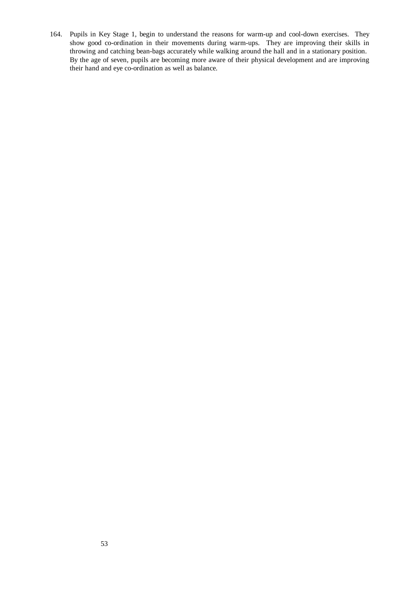164. Pupils in Key Stage 1, begin to understand the reasons for warm-up and cool-down exercises. They show good co-ordination in their movements during warm-ups. They are improving their skills in throwing and catching bean-bags accurately while walking around the hall and in a stationary position. By the age of seven, pupils are becoming more aware of their physical development and are improving their hand and eye co-ordination as well as balance.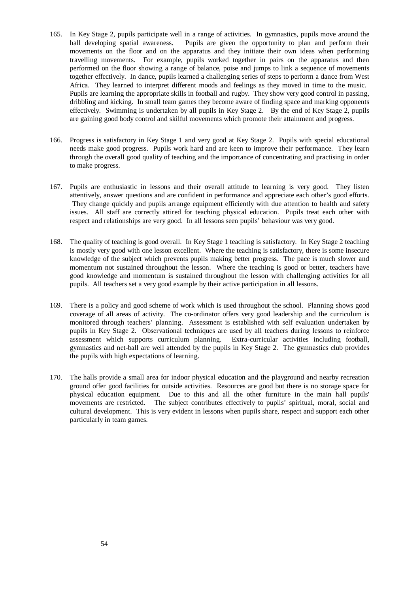- 165. In Key Stage 2, pupils participate well in a range of activities. In gymnastics, pupils move around the hall developing spatial awareness. Pupils are given the opportunity to plan and perform their movements on the floor and on the apparatus and they initiate their own ideas when performing travelling movements. For example, pupils worked together in pairs on the apparatus and then performed on the floor showing a range of balance, poise and jumps to link a sequence of movements together effectively. In dance, pupils learned a challenging series of steps to perform a dance from West Africa. They learned to interpret different moods and feelings as they moved in time to the music. Pupils are learning the appropriate skills in football and rugby. They show very good control in passing, dribbling and kicking. In small team games they become aware of finding space and marking opponents effectively. Swimming is undertaken by all pupils in Key Stage 2. By the end of Key Stage 2, pupils are gaining good body control and skilful movements which promote their attainment and progress.
- 166. Progress is satisfactory in Key Stage 1 and very good at Key Stage 2. Pupils with special educational needs make good progress. Pupils work hard and are keen to improve their performance. They learn through the overall good quality of teaching and the importance of concentrating and practising in order to make progress.
- 167. Pupils are enthusiastic in lessons and their overall attitude to learning is very good. They listen attentively, answer questions and are confident in performance and appreciate each other's good efforts. They change quickly and pupils arrange equipment efficiently with due attention to health and safety issues. All staff are correctly attired for teaching physical education. Pupils treat each other with respect and relationships are very good. In all lessons seen pupils' behaviour was very good.
- 168. The quality of teaching is good overall. In Key Stage 1 teaching is satisfactory. In Key Stage 2 teaching is mostly very good with one lesson excellent. Where the teaching is satisfactory, there is some insecure knowledge of the subject which prevents pupils making better progress. The pace is much slower and momentum not sustained throughout the lesson. Where the teaching is good or better, teachers have good knowledge and momentum is sustained throughout the lesson with challenging activities for all pupils. All teachers set a very good example by their active participation in all lessons.
- 169. There is a policy and good scheme of work which is used throughout the school. Planning shows good coverage of all areas of activity. The co-ordinator offers very good leadership and the curriculum is monitored through teachers' planning. Assessment is established with self evaluation undertaken by pupils in Key Stage 2. Observational techniques are used by all teachers during lessons to reinforce assessment which supports curriculum planning. Extra-curricular activities including football, gymnastics and net-ball are well attended by the pupils in Key Stage 2. The gymnastics club provides the pupils with high expectations of learning.
- 170. The halls provide a small area for indoor physical education and the playground and nearby recreation ground offer good facilities for outside activities. Resources are good but there is no storage space for physical education equipment. Due to this and all the other furniture in the main hall pupils' movements are restricted. The subject contributes effectively to pupils' spiritual, moral, social and cultural development. This is very evident in lessons when pupils share, respect and support each other particularly in team games.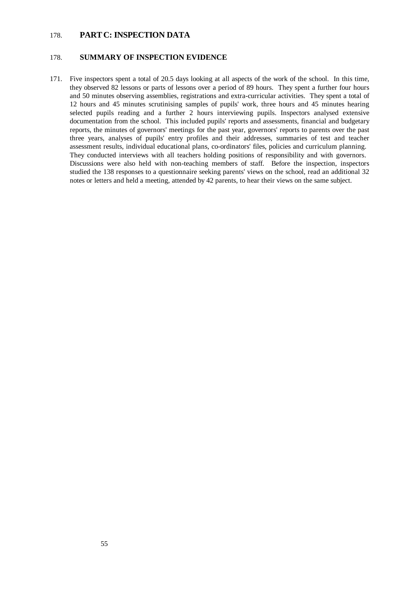## 178. **PART C: INSPECTION DATA**

#### 178. **SUMMARY OF INSPECTION EVIDENCE**

171. Five inspectors spent a total of 20.5 days looking at all aspects of the work of the school. In this time, they observed 82 lessons or parts of lessons over a period of 89 hours. They spent a further four hours and 50 minutes observing assemblies, registrations and extra-curricular activities. They spent a total of 12 hours and 45 minutes scrutinising samples of pupils' work, three hours and 45 minutes hearing selected pupils reading and a further 2 hours interviewing pupils. Inspectors analysed extensive documentation from the school. This included pupils' reports and assessments, financial and budgetary reports, the minutes of governors' meetings for the past year, governors' reports to parents over the past three years, analyses of pupils' entry profiles and their addresses, summaries of test and teacher assessment results, individual educational plans, co-ordinators' files, policies and curriculum planning. They conducted interviews with all teachers holding positions of responsibility and with governors. Discussions were also held with non-teaching members of staff. Before the inspection, inspectors studied the 138 responses to a questionnaire seeking parents' views on the school, read an additional 32 notes or letters and held a meeting, attended by 42 parents, to hear their views on the same subject.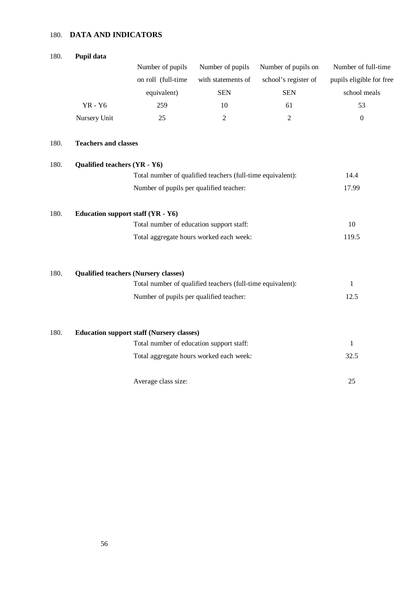## 180. **DATA AND INDICATORS**

| 180. | Pupil data                   |                                                  |                                                            |                      |                          |
|------|------------------------------|--------------------------------------------------|------------------------------------------------------------|----------------------|--------------------------|
|      |                              | Number of pupils                                 | Number of pupils                                           | Number of pupils on  | Number of full-time      |
|      |                              | on roll (full-time                               | with statements of                                         | school's register of | pupils eligible for free |
|      |                              | equivalent)                                      | <b>SEN</b>                                                 | <b>SEN</b>           | school meals             |
|      | $YR - Y6$                    | 259                                              | 10                                                         | 61                   | 53                       |
|      | Nursery Unit                 | 25                                               | 2                                                          | $\overline{2}$       | $\boldsymbol{0}$         |
| 180. | <b>Teachers and classes</b>  |                                                  |                                                            |                      |                          |
| 180. | Qualified teachers (YR - Y6) |                                                  |                                                            |                      |                          |
|      |                              |                                                  | Total number of qualified teachers (full-time equivalent): |                      | 14.4                     |
|      |                              | Number of pupils per qualified teacher:          |                                                            |                      | 17.99                    |
| 180. |                              | Education support staff (YR - Y6)                |                                                            |                      |                          |
|      |                              | Total number of education support staff:         |                                                            |                      | 10                       |
|      |                              |                                                  | Total aggregate hours worked each week:                    |                      | 119.5                    |
| 180. |                              | Qualified teachers (Nursery classes)             |                                                            |                      |                          |
|      |                              |                                                  | Total number of qualified teachers (full-time equivalent): |                      | 1                        |
|      |                              | Number of pupils per qualified teacher:          |                                                            |                      | 12.5                     |
| 180. |                              | <b>Education support staff (Nursery classes)</b> |                                                            |                      |                          |
|      |                              | Total number of education support staff:         |                                                            |                      | $\mathbf{1}$             |
|      |                              |                                                  | Total aggregate hours worked each week:                    |                      | 32.5                     |
|      |                              | Average class size:                              |                                                            |                      | 25                       |
|      |                              |                                                  |                                                            |                      |                          |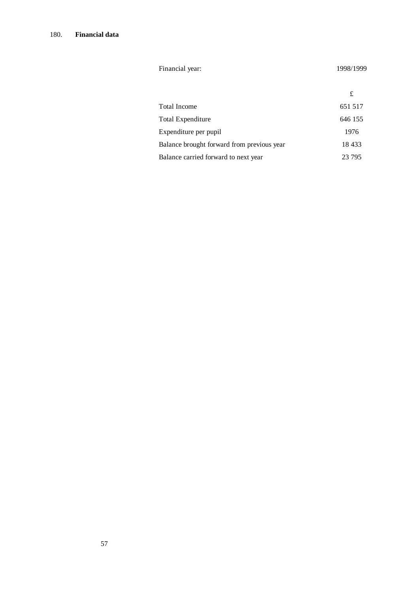| Financial year:          | 1998/1999 |
|--------------------------|-----------|
|                          | £         |
| Total Income             | 651 517   |
| <b>Total Expenditure</b> | 646 155   |
| Expenditure per pupil    | 1976      |

|  | Balance brought forward from previous year | 18 433  |
|--|--------------------------------------------|---------|
|  | Balance carried forward to next year       | 23 7 95 |